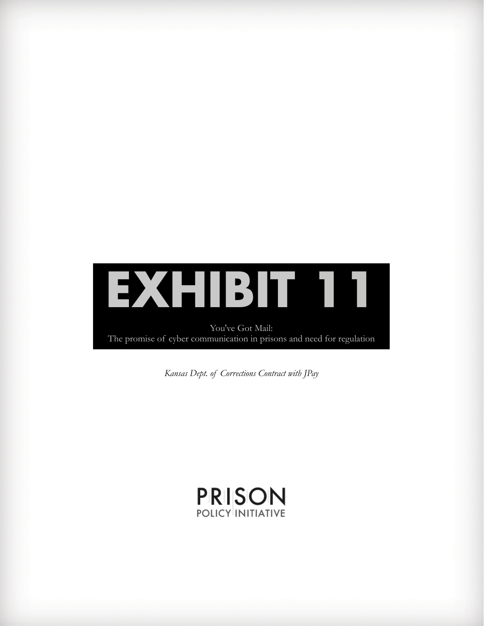

*Kansas Dept. of Corrections Contract with JPay*

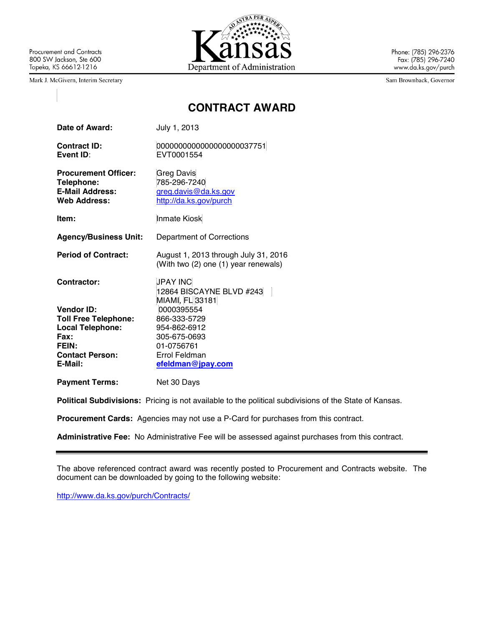Procurement and Contracts 800 SW Jackson, Ste 600 Topeka, KS 66612-1216

Mark J. McGivern, Interim Secretary



Phone: (785) 296-2376 Fax: (785) 296-7240 www.da.ks.gov/purch

Sam Brownback, Governor

# **CONTRACT AWARD**

| Date of Award:                                                                             | July 1, 2013                                                                        |
|--------------------------------------------------------------------------------------------|-------------------------------------------------------------------------------------|
| Contract ID:<br>Event ID:                                                                  | 0000000000000000000037751<br>EVT0001554                                             |
| <b>Procurement Officer:</b><br>Telephone:<br><b>E-Mail Address:</b><br><b>Web Address:</b> | <b>Greg Davis</b><br>785-296-7240<br>greg.davis@da.ks.gov<br>http://da.ks.gov/purch |
| ltem:                                                                                      | <b>Inmate Kiosk</b>                                                                 |
| <b>Agency/Business Unit:</b>                                                               | Department of Corrections                                                           |
| <b>Period of Contract:</b>                                                                 | August 1, 2013 through July 31, 2016<br>(With two (2) one (1) year renewals)        |
| Contractor:                                                                                | <b>JPAY INC</b><br>12864 BISCAYNE BLVD #243<br>MIAMI, FL 33181                      |
| <b>Vendor ID:</b>                                                                          | 0000395554                                                                          |
| <b>Toll Free Telephone:</b>                                                                | 866-333-5729                                                                        |
| <b>Local Telephone:</b>                                                                    | 954-862-6912                                                                        |
| Fax:                                                                                       | 305-675-0693                                                                        |
| <b>FEIN:</b><br><b>Contact Person:</b>                                                     | 01-0756761<br>Errol Feldman                                                         |
| E-Mail:                                                                                    | efeldman@jpay.com                                                                   |
| <b>Payment Terms:</b>                                                                      | Net 30 Days                                                                         |

**Political Subdivisions:** Pricing is not available to the political subdivisions of the State of Kansas.

**Procurement Cards:** Agencies may not use a P-Card for purchases from this contract.

**Administrative Fee:** No Administrative Fee will be assessed against purchases from this contract.

The above referenced contract award was recently posted to Procurement and Contracts website. The document can be downloaded by going to the following website:

http://www.da.ks.gov/purch/Contracts/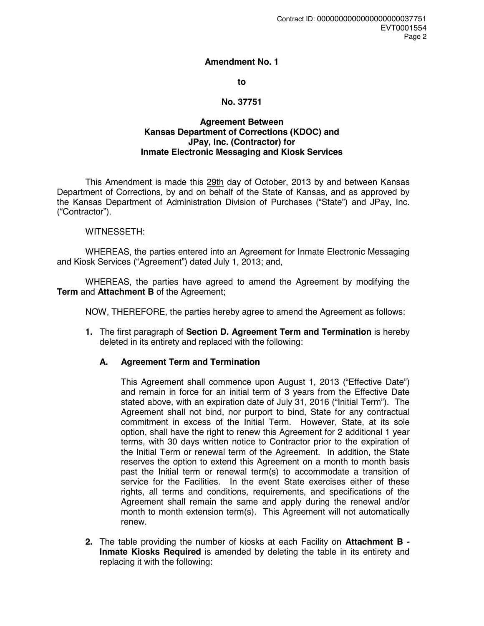#### **Amendment No. 1**

#### **to**

### **No. 37751**

#### **Agreement Between Kansas Department of Corrections (KDOC) and JPay, Inc. (Contractor) for Inmate Electronic Messaging and Kiosk Services**

This Amendment is made this 29th day of October, 2013 by and between Kansas Department of Corrections, by and on behalf of the State of Kansas, and as approved by the Kansas Department of Administration Division of Purchases ("State") and JPay, Inc. ("Contractor").

#### WITNESSETH:

WHEREAS, the parties entered into an Agreement for Inmate Electronic Messaging and Kiosk Services ("Agreement") dated July 1, 2013; and,

WHEREAS, the parties have agreed to amend the Agreement by modifying the **Term** and **Attachment B** of the Agreement;

NOW, THEREFORE, the parties hereby agree to amend the Agreement as follows:

**1.** The first paragraph of **Section D. Agreement Term and Termination** is hereby deleted in its entirety and replaced with the following:

# **A. Agreement Term and Termination**

This Agreement shall commence upon August 1, 2013 ("Effective Date") and remain in force for an initial term of 3 years from the Effective Date stated above, with an expiration date of July 31, 2016 ("Initial Term"). The Agreement shall not bind, nor purport to bind, State for any contractual commitment in excess of the Initial Term. However, State, at its sole option, shall have the right to renew this Agreement for 2 additional 1 year terms, with 30 days written notice to Contractor prior to the expiration of the Initial Term or renewal term of the Agreement. In addition, the State reserves the option to extend this Agreement on a month to month basis past the Initial term or renewal term(s) to accommodate a transition of service for the Facilities. In the event State exercises either of these rights, all terms and conditions, requirements, and specifications of the Agreement shall remain the same and apply during the renewal and/or month to month extension term(s). This Agreement will not automatically renew.

**2.** The table providing the number of kiosks at each Facility on **Attachment B - Inmate Kiosks Required** is amended by deleting the table in its entirety and replacing it with the following: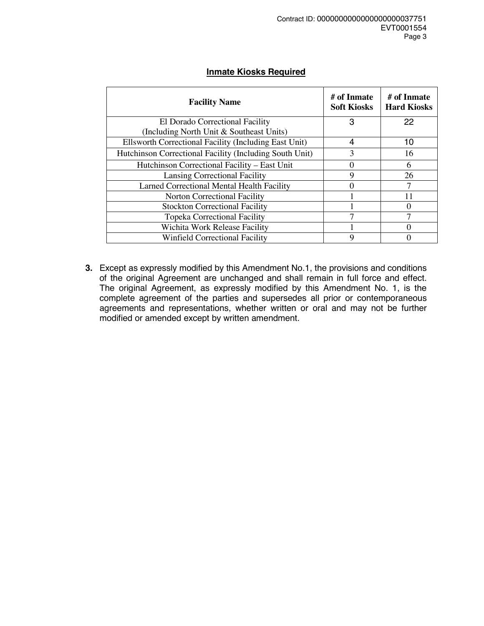# **Inmate Kiosks Required**

| <b>Facility Name</b>                                    | # of Inmate<br><b>Soft Kiosks</b> | # of Inmate<br><b>Hard Kiosks</b> |
|---------------------------------------------------------|-----------------------------------|-----------------------------------|
| El Dorado Correctional Facility                         | 3                                 | 22                                |
| (Including North Unit & Southeast Units)                |                                   |                                   |
| Ellsworth Correctional Facility (Including East Unit)   | 4                                 | 10                                |
| Hutchinson Correctional Facility (Including South Unit) | 3                                 | 16                                |
| Hutchinson Correctional Facility - East Unit            |                                   | 6                                 |
| Lansing Correctional Facility                           | 9                                 | 26                                |
| Larned Correctional Mental Health Facility              |                                   |                                   |
| Norton Correctional Facility                            |                                   | 11                                |
| <b>Stockton Correctional Facility</b>                   |                                   |                                   |
| <b>Topeka Correctional Facility</b>                     |                                   | 7                                 |
| Wichita Work Release Facility                           |                                   |                                   |
| <b>Winfield Correctional Facility</b>                   | Q                                 |                                   |

**3.** Except as expressly modified by this Amendment No.1, the provisions and conditions of the original Agreement are unchanged and shall remain in full force and effect. The original Agreement, as expressly modified by this Amendment No. 1, is the complete agreement of the parties and supersedes all prior or contemporaneous agreements and representations, whether written or oral and may not be further modified or amended except by written amendment.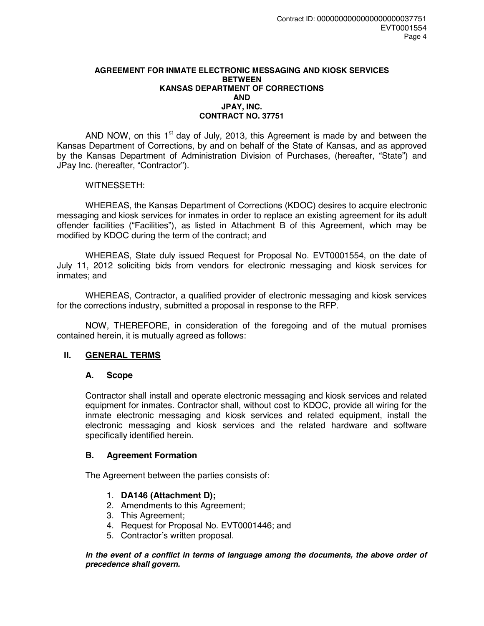#### **AGREEMENT FOR INMATE ELECTRONIC MESSAGING AND KIOSK SERVICES BETWEEN KANSAS DEPARTMENT OF CORRECTIONS AND JPAY, INC. CONTRACT NO. 37751**

AND NOW, on this  $1<sup>st</sup>$  day of July, 2013, this Agreement is made by and between the Kansas Department of Corrections, by and on behalf of the State of Kansas, and as approved by the Kansas Department of Administration Division of Purchases, (hereafter, "State") and JPay Inc. (hereafter, "Contractor").

### WITNESSETH:

 WHEREAS, the Kansas Department of Corrections (KDOC) desires to acquire electronic messaging and kiosk services for inmates in order to replace an existing agreement for its adult offender facilities ("Facilities"), as listed in Attachment B of this Agreement, which may be modified by KDOC during the term of the contract; and

 WHEREAS, State duly issued Request for Proposal No. EVT0001554, on the date of July 11, 2012 soliciting bids from vendors for electronic messaging and kiosk services for inmates; and

 WHEREAS, Contractor, a qualified provider of electronic messaging and kiosk services for the corrections industry, submitted a proposal in response to the RFP.

 NOW, THEREFORE, in consideration of the foregoing and of the mutual promises contained herein, it is mutually agreed as follows:

# **II. GENERAL TERMS**

#### **A. Scope**

Contractor shall install and operate electronic messaging and kiosk services and related equipment for inmates. Contractor shall, without cost to KDOC, provide all wiring for the inmate electronic messaging and kiosk services and related equipment, install the electronic messaging and kiosk services and the related hardware and software specifically identified herein.

#### **B. Agreement Formation**

The Agreement between the parties consists of:

#### 1. **DA146 (Attachment D);**

- 2. Amendments to this Agreement;
- 3. This Agreement;
- 4. Request for Proposal No. EVT0001446; and
- 5. Contractor's written proposal.

In the event of a conflict in terms of language among the documents, the above order of *precedence shall govern.*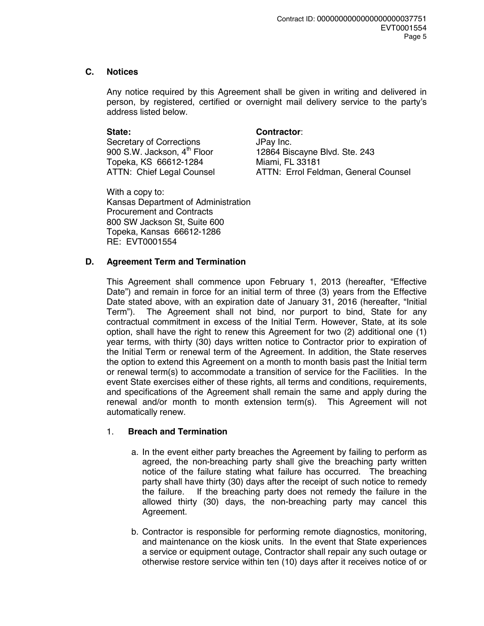# **C. Notices**

Any notice required by this Agreement shall be given in writing and delivered in person, by registered, certified or overnight mail delivery service to the party's address listed below.

Secretary of Corrections **JPay Inc.** Topeka, KS 66612-1284 Miami, FL 33181

# **State: Contractor**:

900 S.W. Jackson, 4<sup>th</sup> Floor 12864 Biscayne Blvd. Ste. 243 ATTN: Chief Legal Counsel ATTN: Errol Feldman, General Counsel

With a copy to: Kansas Department of Administration Procurement and Contracts 800 SW Jackson St, Suite 600 Topeka, Kansas 66612-1286 RE: EVT0001554

# **D. Agreement Term and Termination**

This Agreement shall commence upon February 1, 2013 (hereafter, "Effective Date") and remain in force for an initial term of three (3) years from the Effective Date stated above, with an expiration date of January 31, 2016 (hereafter, "Initial Term"). The Agreement shall not bind, nor purport to bind, State for any contractual commitment in excess of the Initial Term. However, State, at its sole option, shall have the right to renew this Agreement for two (2) additional one (1) year terms, with thirty (30) days written notice to Contractor prior to expiration of the Initial Term or renewal term of the Agreement. In addition, the State reserves the option to extend this Agreement on a month to month basis past the Initial term or renewal term(s) to accommodate a transition of service for the Facilities. In the event State exercises either of these rights, all terms and conditions, requirements, and specifications of the Agreement shall remain the same and apply during the renewal and/or month to month extension term(s). This Agreement will not automatically renew.

# 1. **Breach and Termination**

- a. In the event either party breaches the Agreement by failing to perform as agreed, the non-breaching party shall give the breaching party written notice of the failure stating what failure has occurred. The breaching party shall have thirty (30) days after the receipt of such notice to remedy the failure. If the breaching party does not remedy the failure in the allowed thirty (30) days, the non-breaching party may cancel this Agreement.
- b. Contractor is responsible for performing remote diagnostics, monitoring, and maintenance on the kiosk units. In the event that State experiences a service or equipment outage, Contractor shall repair any such outage or otherwise restore service within ten (10) days after it receives notice of or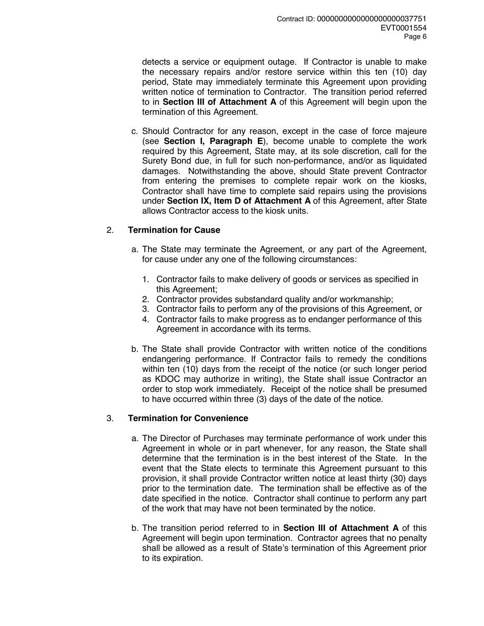detects a service or equipment outage. If Contractor is unable to make the necessary repairs and/or restore service within this ten (10) day period, State may immediately terminate this Agreement upon providing written notice of termination to Contractor. The transition period referred to in **Section III of Attachment A** of this Agreement will begin upon the termination of this Agreement.

c. Should Contractor for any reason, except in the case of force majeure (see **Section I, Paragraph E**), become unable to complete the work required by this Agreement, State may, at its sole discretion, call for the Surety Bond due, in full for such non-performance, and/or as liquidated damages. Notwithstanding the above, should State prevent Contractor from entering the premises to complete repair work on the kiosks, Contractor shall have time to complete said repairs using the provisions under **Section IX, Item D of Attachment A** of this Agreement, after State allows Contractor access to the kiosk units.

# 2. **Termination for Cause**

- a. The State may terminate the Agreement, or any part of the Agreement, for cause under any one of the following circumstances:
	- 1. Contractor fails to make delivery of goods or services as specified in this Agreement;
	- 2. Contractor provides substandard quality and/or workmanship;
	- 3. Contractor fails to perform any of the provisions of this Agreement, or
	- 4. Contractor fails to make progress as to endanger performance of this Agreement in accordance with its terms.
- b. The State shall provide Contractor with written notice of the conditions endangering performance. If Contractor fails to remedy the conditions within ten (10) days from the receipt of the notice (or such longer period as KDOC may authorize in writing), the State shall issue Contractor an order to stop work immediately. Receipt of the notice shall be presumed to have occurred within three (3) days of the date of the notice.

#### 3. **Termination for Convenience**

- a. The Director of Purchases may terminate performance of work under this Agreement in whole or in part whenever, for any reason, the State shall determine that the termination is in the best interest of the State. In the event that the State elects to terminate this Agreement pursuant to this provision, it shall provide Contractor written notice at least thirty (30) days prior to the termination date. The termination shall be effective as of the date specified in the notice. Contractor shall continue to perform any part of the work that may have not been terminated by the notice.
- b. The transition period referred to in **Section III of Attachment A** of this Agreement will begin upon termination. Contractor agrees that no penalty shall be allowed as a result of State's termination of this Agreement prior to its expiration.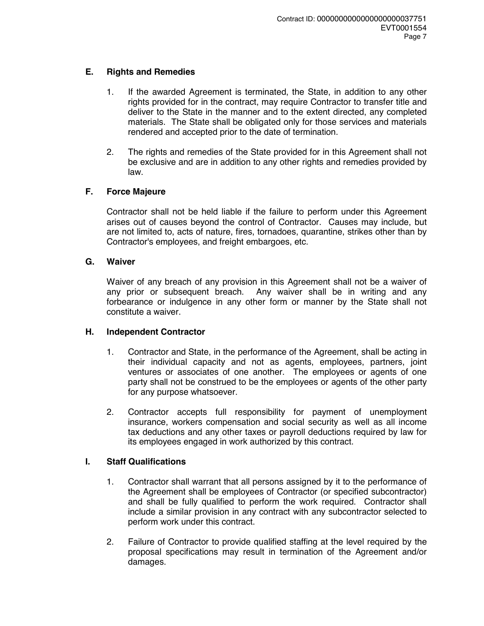# **E. Rights and Remedies**

- 1. If the awarded Agreement is terminated, the State, in addition to any other rights provided for in the contract, may require Contractor to transfer title and deliver to the State in the manner and to the extent directed, any completed materials. The State shall be obligated only for those services and materials rendered and accepted prior to the date of termination.
- 2. The rights and remedies of the State provided for in this Agreement shall not be exclusive and are in addition to any other rights and remedies provided by law.

# **F. Force Majeure**

Contractor shall not be held liable if the failure to perform under this Agreement arises out of causes beyond the control of Contractor. Causes may include, but are not limited to, acts of nature, fires, tornadoes, quarantine, strikes other than by Contractor's employees, and freight embargoes, etc.

# **G. Waiver**

Waiver of any breach of any provision in this Agreement shall not be a waiver of any prior or subsequent breach. Any waiver shall be in writing and any forbearance or indulgence in any other form or manner by the State shall not constitute a waiver.

# **H. Independent Contractor**

- 1. Contractor and State, in the performance of the Agreement, shall be acting in their individual capacity and not as agents, employees, partners, joint ventures or associates of one another. The employees or agents of one party shall not be construed to be the employees or agents of the other party for any purpose whatsoever.
- 2. Contractor accepts full responsibility for payment of unemployment insurance, workers compensation and social security as well as all income tax deductions and any other taxes or payroll deductions required by law for its employees engaged in work authorized by this contract.

# **I. Staff Qualifications**

- 1. Contractor shall warrant that all persons assigned by it to the performance of the Agreement shall be employees of Contractor (or specified subcontractor) and shall be fully qualified to perform the work required. Contractor shall include a similar provision in any contract with any subcontractor selected to perform work under this contract.
- 2. Failure of Contractor to provide qualified staffing at the level required by the proposal specifications may result in termination of the Agreement and/or damages.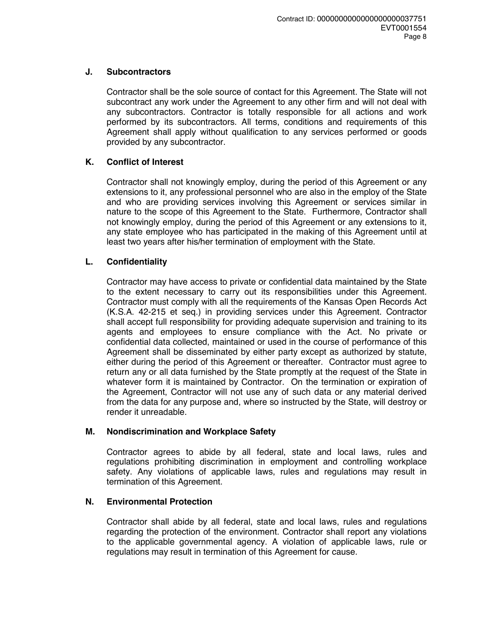## **J. Subcontractors**

Contractor shall be the sole source of contact for this Agreement. The State will not subcontract any work under the Agreement to any other firm and will not deal with any subcontractors. Contractor is totally responsible for all actions and work performed by its subcontractors. All terms, conditions and requirements of this Agreement shall apply without qualification to any services performed or goods provided by any subcontractor.

# **K. Conflict of Interest**

Contractor shall not knowingly employ, during the period of this Agreement or any extensions to it, any professional personnel who are also in the employ of the State and who are providing services involving this Agreement or services similar in nature to the scope of this Agreement to the State. Furthermore, Contractor shall not knowingly employ, during the period of this Agreement or any extensions to it, any state employee who has participated in the making of this Agreement until at least two years after his/her termination of employment with the State.

# **L. Confidentiality**

Contractor may have access to private or confidential data maintained by the State to the extent necessary to carry out its responsibilities under this Agreement. Contractor must comply with all the requirements of the Kansas Open Records Act (K.S.A. 42-215 et seq.) in providing services under this Agreement. Contractor shall accept full responsibility for providing adequate supervision and training to its agents and employees to ensure compliance with the Act. No private or confidential data collected, maintained or used in the course of performance of this Agreement shall be disseminated by either party except as authorized by statute, either during the period of this Agreement or thereafter. Contractor must agree to return any or all data furnished by the State promptly at the request of the State in whatever form it is maintained by Contractor. On the termination or expiration of the Agreement, Contractor will not use any of such data or any material derived from the data for any purpose and, where so instructed by the State, will destroy or render it unreadable.

# **M. Nondiscrimination and Workplace Safety**

Contractor agrees to abide by all federal, state and local laws, rules and regulations prohibiting discrimination in employment and controlling workplace safety. Any violations of applicable laws, rules and regulations may result in termination of this Agreement.

# **N. Environmental Protection**

Contractor shall abide by all federal, state and local laws, rules and regulations regarding the protection of the environment. Contractor shall report any violations to the applicable governmental agency. A violation of applicable laws, rule or regulations may result in termination of this Agreement for cause.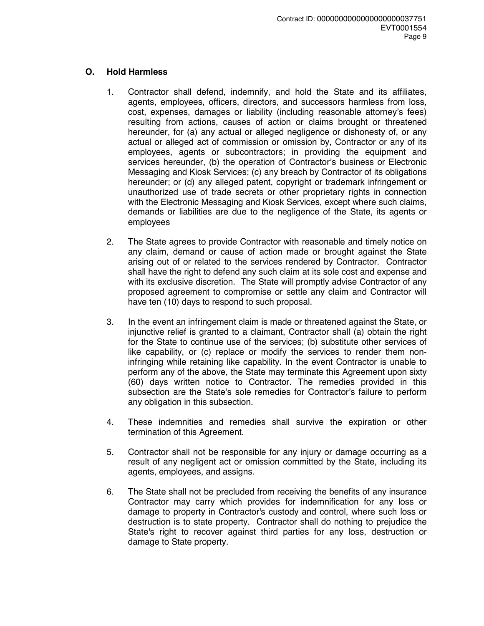# **O. Hold Harmless**

- 1. Contractor shall defend, indemnify, and hold the State and its affiliates, agents, employees, officers, directors, and successors harmless from loss, cost, expenses, damages or liability (including reasonable attorney's fees) resulting from actions, causes of action or claims brought or threatened hereunder, for (a) any actual or alleged negligence or dishonesty of, or any actual or alleged act of commission or omission by, Contractor or any of its employees, agents or subcontractors; in providing the equipment and services hereunder, (b) the operation of Contractor's business or Electronic Messaging and Kiosk Services; (c) any breach by Contractor of its obligations hereunder; or (d) any alleged patent, copyright or trademark infringement or unauthorized use of trade secrets or other proprietary rights in connection with the Electronic Messaging and Kiosk Services, except where such claims, demands or liabilities are due to the negligence of the State, its agents or employees
- 2. The State agrees to provide Contractor with reasonable and timely notice on any claim, demand or cause of action made or brought against the State arising out of or related to the services rendered by Contractor. Contractor shall have the right to defend any such claim at its sole cost and expense and with its exclusive discretion. The State will promptly advise Contractor of any proposed agreement to compromise or settle any claim and Contractor will have ten (10) days to respond to such proposal.
- 3. In the event an infringement claim is made or threatened against the State, or injunctive relief is granted to a claimant, Contractor shall (a) obtain the right for the State to continue use of the services; (b) substitute other services of like capability, or (c) replace or modify the services to render them noninfringing while retaining like capability. In the event Contractor is unable to perform any of the above, the State may terminate this Agreement upon sixty (60) days written notice to Contractor. The remedies provided in this subsection are the State's sole remedies for Contractor's failure to perform any obligation in this subsection.
- 4. These indemnities and remedies shall survive the expiration or other termination of this Agreement.
- 5. Contractor shall not be responsible for any injury or damage occurring as a result of any negligent act or omission committed by the State, including its agents, employees, and assigns.
- 6. The State shall not be precluded from receiving the benefits of any insurance Contractor may carry which provides for indemnification for any loss or damage to property in Contractor's custody and control, where such loss or destruction is to state property. Contractor shall do nothing to prejudice the State's right to recover against third parties for any loss, destruction or damage to State property.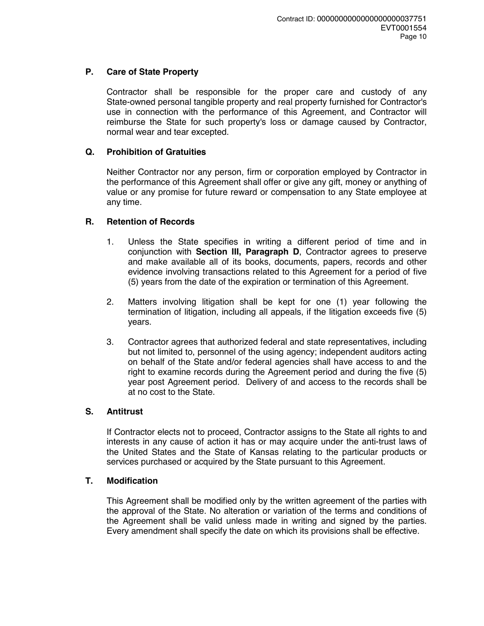# **P. Care of State Property**

Contractor shall be responsible for the proper care and custody of any State-owned personal tangible property and real property furnished for Contractor's use in connection with the performance of this Agreement, and Contractor will reimburse the State for such property's loss or damage caused by Contractor, normal wear and tear excepted.

# **Q. Prohibition of Gratuities**

Neither Contractor nor any person, firm or corporation employed by Contractor in the performance of this Agreement shall offer or give any gift, money or anything of value or any promise for future reward or compensation to any State employee at any time.

# **R. Retention of Records**

- 1. Unless the State specifies in writing a different period of time and in conjunction with **Section III, Paragraph D**, Contractor agrees to preserve and make available all of its books, documents, papers, records and other evidence involving transactions related to this Agreement for a period of five (5) years from the date of the expiration or termination of this Agreement.
- 2. Matters involving litigation shall be kept for one (1) year following the termination of litigation, including all appeals, if the litigation exceeds five (5) years.
- 3. Contractor agrees that authorized federal and state representatives, including but not limited to, personnel of the using agency; independent auditors acting on behalf of the State and/or federal agencies shall have access to and the right to examine records during the Agreement period and during the five (5) year post Agreement period. Delivery of and access to the records shall be at no cost to the State.

# **S. Antitrust**

If Contractor elects not to proceed, Contractor assigns to the State all rights to and interests in any cause of action it has or may acquire under the anti-trust laws of the United States and the State of Kansas relating to the particular products or services purchased or acquired by the State pursuant to this Agreement.

# **T. Modification**

This Agreement shall be modified only by the written agreement of the parties with the approval of the State. No alteration or variation of the terms and conditions of the Agreement shall be valid unless made in writing and signed by the parties. Every amendment shall specify the date on which its provisions shall be effective.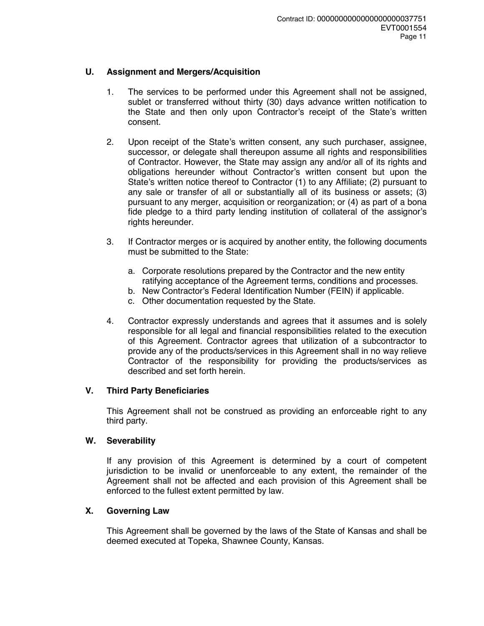# **U. Assignment and Mergers/Acquisition**

- 1. The services to be performed under this Agreement shall not be assigned, sublet or transferred without thirty (30) days advance written notification to the State and then only upon Contractor's receipt of the State's written consent.
- 2. Upon receipt of the State's written consent, any such purchaser, assignee, successor, or delegate shall thereupon assume all rights and responsibilities of Contractor. However, the State may assign any and/or all of its rights and obligations hereunder without Contractor's written consent but upon the State's written notice thereof to Contractor (1) to any Affiliate; (2) pursuant to any sale or transfer of all or substantially all of its business or assets; (3) pursuant to any merger, acquisition or reorganization; or (4) as part of a bona fide pledge to a third party lending institution of collateral of the assignor's rights hereunder.
- 3. If Contractor merges or is acquired by another entity, the following documents must be submitted to the State:
	- a. Corporate resolutions prepared by the Contractor and the new entity ratifying acceptance of the Agreement terms, conditions and processes.
	- b. New Contractor's Federal Identification Number (FEIN) if applicable.
	- c. Other documentation requested by the State.
- 4. Contractor expressly understands and agrees that it assumes and is solely responsible for all legal and financial responsibilities related to the execution of this Agreement. Contractor agrees that utilization of a subcontractor to provide any of the products/services in this Agreement shall in no way relieve Contractor of the responsibility for providing the products/services as described and set forth herein.

#### **V. Third Party Beneficiaries**

This Agreement shall not be construed as providing an enforceable right to any third party.

## **W. Severability**

If any provision of this Agreement is determined by a court of competent jurisdiction to be invalid or unenforceable to any extent, the remainder of the Agreement shall not be affected and each provision of this Agreement shall be enforced to the fullest extent permitted by law.

#### **X. Governing Law**

This Agreement shall be governed by the laws of the State of Kansas and shall be deemed executed at Topeka, Shawnee County, Kansas.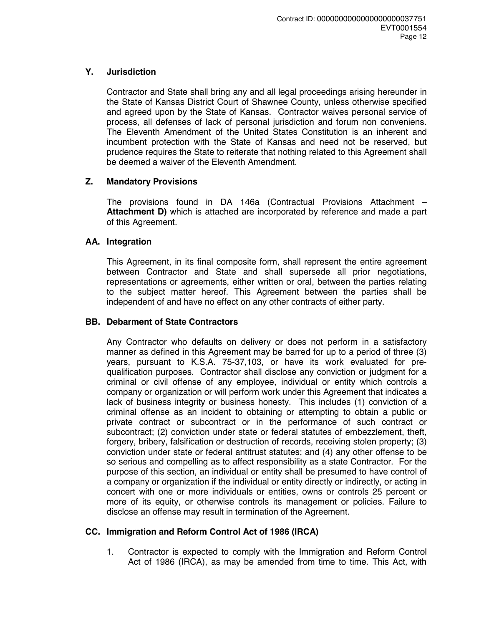# **Y. Jurisdiction**

Contractor and State shall bring any and all legal proceedings arising hereunder in the State of Kansas District Court of Shawnee County, unless otherwise specified and agreed upon by the State of Kansas. Contractor waives personal service of process, all defenses of lack of personal jurisdiction and forum non conveniens. The Eleventh Amendment of the United States Constitution is an inherent and incumbent protection with the State of Kansas and need not be reserved, but prudence requires the State to reiterate that nothing related to this Agreement shall be deemed a waiver of the Eleventh Amendment.

# **Z. Mandatory Provisions**

The provisions found in DA 146a (Contractual Provisions Attachment – **Attachment D)** which is attached are incorporated by reference and made a part of this Agreement.

# **AA. Integration**

This Agreement, in its final composite form, shall represent the entire agreement between Contractor and State and shall supersede all prior negotiations, representations or agreements, either written or oral, between the parties relating to the subject matter hereof. This Agreement between the parties shall be independent of and have no effect on any other contracts of either party.

# **BB. Debarment of State Contractors**

Any Contractor who defaults on delivery or does not perform in a satisfactory manner as defined in this Agreement may be barred for up to a period of three (3) years, pursuant to K.S.A. 75-37,103, or have its work evaluated for prequalification purposes. Contractor shall disclose any conviction or judgment for a criminal or civil offense of any employee, individual or entity which controls a company or organization or will perform work under this Agreement that indicates a lack of business integrity or business honesty. This includes (1) conviction of a criminal offense as an incident to obtaining or attempting to obtain a public or private contract or subcontract or in the performance of such contract or subcontract; (2) conviction under state or federal statutes of embezzlement, theft, forgery, bribery, falsification or destruction of records, receiving stolen property; (3) conviction under state or federal antitrust statutes; and (4) any other offense to be so serious and compelling as to affect responsibility as a state Contractor. For the purpose of this section, an individual or entity shall be presumed to have control of a company or organization if the individual or entity directly or indirectly, or acting in concert with one or more individuals or entities, owns or controls 25 percent or more of its equity, or otherwise controls its management or policies. Failure to disclose an offense may result in termination of the Agreement.

# **CC. Immigration and Reform Control Act of 1986 (IRCA)**

1. Contractor is expected to comply with the Immigration and Reform Control Act of 1986 (IRCA), as may be amended from time to time. This Act, with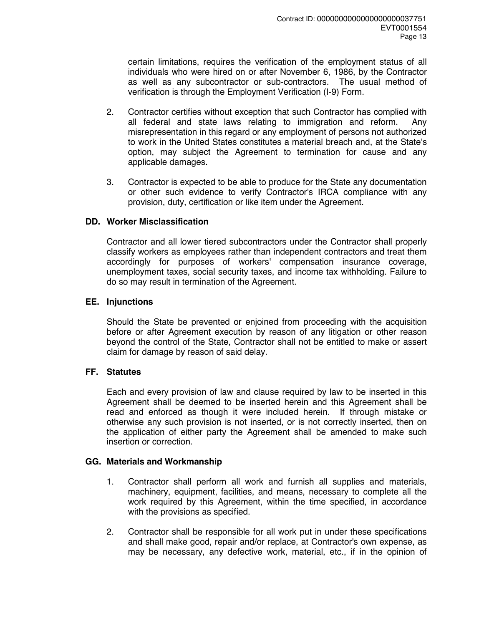certain limitations, requires the verification of the employment status of all individuals who were hired on or after November 6, 1986, by the Contractor as well as any subcontractor or sub-contractors. The usual method of verification is through the Employment Verification (I-9) Form.

- 2. Contractor certifies without exception that such Contractor has complied with all federal and state laws relating to immigration and reform. Any misrepresentation in this regard or any employment of persons not authorized to work in the United States constitutes a material breach and, at the State's option, may subject the Agreement to termination for cause and any applicable damages.
- 3. Contractor is expected to be able to produce for the State any documentation or other such evidence to verify Contractor's IRCA compliance with any provision, duty, certification or like item under the Agreement.

# **DD. Worker Misclassification**

Contractor and all lower tiered subcontractors under the Contractor shall properly classify workers as employees rather than independent contractors and treat them accordingly for purposes of workers' compensation insurance coverage, unemployment taxes, social security taxes, and income tax withholding. Failure to do so may result in termination of the Agreement.

### **EE. Injunctions**

Should the State be prevented or enjoined from proceeding with the acquisition before or after Agreement execution by reason of any litigation or other reason beyond the control of the State, Contractor shall not be entitled to make or assert claim for damage by reason of said delay.

# **FF. Statutes**

Each and every provision of law and clause required by law to be inserted in this Agreement shall be deemed to be inserted herein and this Agreement shall be read and enforced as though it were included herein. If through mistake or otherwise any such provision is not inserted, or is not correctly inserted, then on the application of either party the Agreement shall be amended to make such insertion or correction.

# **GG. Materials and Workmanship**

- 1. Contractor shall perform all work and furnish all supplies and materials, machinery, equipment, facilities, and means, necessary to complete all the work required by this Agreement, within the time specified, in accordance with the provisions as specified.
- 2. Contractor shall be responsible for all work put in under these specifications and shall make good, repair and/or replace, at Contractor's own expense, as may be necessary, any defective work, material, etc., if in the opinion of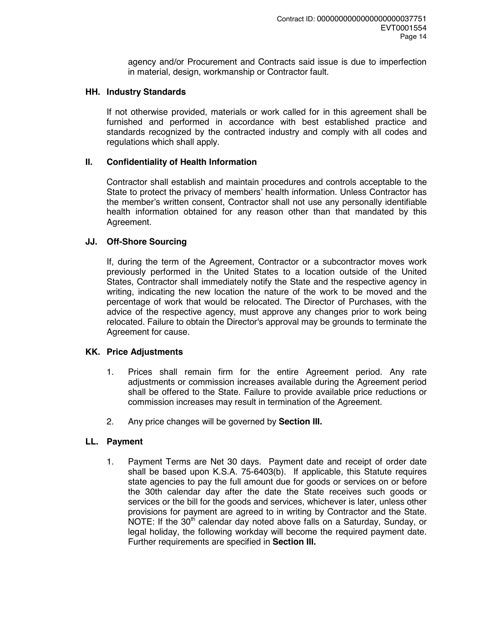agency and/or Procurement and Contracts said issue is due to imperfection in material, design, workmanship or Contractor fault.

### **HH. Industry Standards**

If not otherwise provided, materials or work called for in this agreement shall be furnished and performed in accordance with best established practice and standards recognized by the contracted industry and comply with all codes and regulations which shall apply.

### **II. Confidentiality of Health Information**

Contractor shall establish and maintain procedures and controls acceptable to the State to protect the privacy of members' health information. Unless Contractor has the member's written consent, Contractor shall not use any personally identifiable health information obtained for any reason other than that mandated by this Agreement.

### **JJ. Off-Shore Sourcing**

If, during the term of the Agreement, Contractor or a subcontractor moves work previously performed in the United States to a location outside of the United States, Contractor shall immediately notify the State and the respective agency in writing, indicating the new location the nature of the work to be moved and the percentage of work that would be relocated. The Director of Purchases, with the advice of the respective agency, must approve any changes prior to work being relocated. Failure to obtain the Director's approval may be grounds to terminate the Agreement for cause.

# **KK. Price Adjustments**

- 1. Prices shall remain firm for the entire Agreement period. Any rate adjustments or commission increases available during the Agreement period shall be offered to the State. Failure to provide available price reductions or commission increases may result in termination of the Agreement.
- 2. Any price changes will be governed by **Section III.**

# **LL. Payment**

1. Payment Terms are Net 30 days. Payment date and receipt of order date shall be based upon K.S.A. 75-6403(b). If applicable, this Statute requires state agencies to pay the full amount due for goods or services on or before the 30th calendar day after the date the State receives such goods or services or the bill for the goods and services, whichever is later, unless other provisions for payment are agreed to in writing by Contractor and the State. NOTE: If the 30<sup>th</sup> calendar day noted above falls on a Saturday, Sunday, or legal holiday, the following workday will become the required payment date. Further requirements are specified in **Section III.**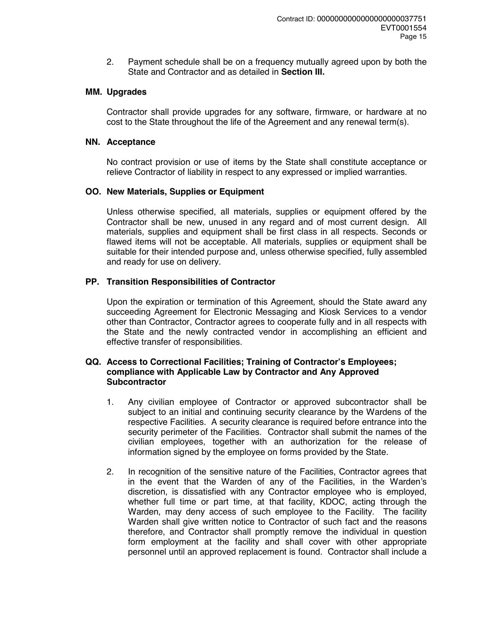2. Payment schedule shall be on a frequency mutually agreed upon by both the State and Contractor and as detailed in **Section III.**

### **MM. Upgrades**

Contractor shall provide upgrades for any software, firmware, or hardware at no cost to the State throughout the life of the Agreement and any renewal term(s).

## **NN. Acceptance**

No contract provision or use of items by the State shall constitute acceptance or relieve Contractor of liability in respect to any expressed or implied warranties.

### **OO. New Materials, Supplies or Equipment**

Unless otherwise specified, all materials, supplies or equipment offered by the Contractor shall be new, unused in any regard and of most current design. All materials, supplies and equipment shall be first class in all respects. Seconds or flawed items will not be acceptable. All materials, supplies or equipment shall be suitable for their intended purpose and, unless otherwise specified, fully assembled and ready for use on delivery.

# **PP. Transition Responsibilities of Contractor**

Upon the expiration or termination of this Agreement, should the State award any succeeding Agreement for Electronic Messaging and Kiosk Services to a vendor other than Contractor, Contractor agrees to cooperate fully and in all respects with the State and the newly contracted vendor in accomplishing an efficient and effective transfer of responsibilities.

#### **QQ. Access to Correctional Facilities; Training of Contractor's Employees; compliance with Applicable Law by Contractor and Any Approved Subcontractor**

- 1. Any civilian employee of Contractor or approved subcontractor shall be subject to an initial and continuing security clearance by the Wardens of the respective Facilities. A security clearance is required before entrance into the security perimeter of the Facilities. Contractor shall submit the names of the civilian employees, together with an authorization for the release of information signed by the employee on forms provided by the State.
- 2. In recognition of the sensitive nature of the Facilities, Contractor agrees that in the event that the Warden of any of the Facilities, in the Warden's discretion, is dissatisfied with any Contractor employee who is employed, whether full time or part time, at that facility, KDOC, acting through the Warden, may deny access of such employee to the Facility. The facility Warden shall give written notice to Contractor of such fact and the reasons therefore, and Contractor shall promptly remove the individual in question form employment at the facility and shall cover with other appropriate personnel until an approved replacement is found. Contractor shall include a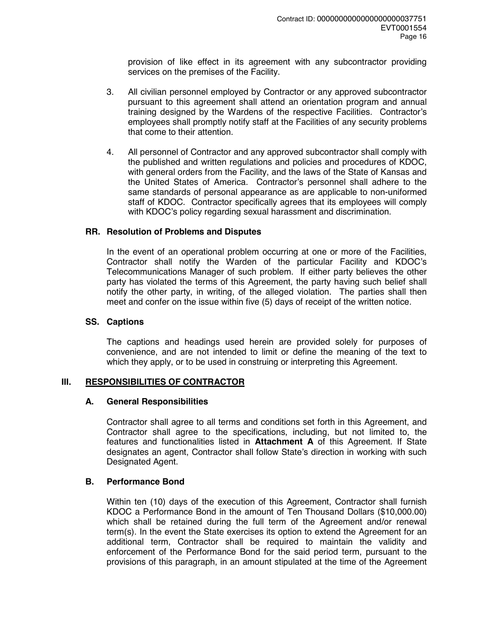provision of like effect in its agreement with any subcontractor providing services on the premises of the Facility.

- 3. All civilian personnel employed by Contractor or any approved subcontractor pursuant to this agreement shall attend an orientation program and annual training designed by the Wardens of the respective Facilities. Contractor's employees shall promptly notify staff at the Facilities of any security problems that come to their attention.
- 4. All personnel of Contractor and any approved subcontractor shall comply with the published and written regulations and policies and procedures of KDOC, with general orders from the Facility, and the laws of the State of Kansas and the United States of America. Contractor's personnel shall adhere to the same standards of personal appearance as are applicable to non-uniformed staff of KDOC. Contractor specifically agrees that its employees will comply with KDOC's policy regarding sexual harassment and discrimination.

# **RR. Resolution of Problems and Disputes**

In the event of an operational problem occurring at one or more of the Facilities, Contractor shall notify the Warden of the particular Facility and KDOC's Telecommunications Manager of such problem. If either party believes the other party has violated the terms of this Agreement, the party having such belief shall notify the other party, in writing, of the alleged violation. The parties shall then meet and confer on the issue within five (5) days of receipt of the written notice.

#### **SS. Captions**

The captions and headings used herein are provided solely for purposes of convenience, and are not intended to limit or define the meaning of the text to which they apply, or to be used in construing or interpreting this Agreement.

# **III. RESPONSIBILITIES OF CONTRACTOR**

#### **A. General Responsibilities**

Contractor shall agree to all terms and conditions set forth in this Agreement, and Contractor shall agree to the specifications, including, but not limited to, the features and functionalities listed in **Attachment A** of this Agreement. If State designates an agent, Contractor shall follow State's direction in working with such Designated Agent.

# **B. Performance Bond**

Within ten (10) days of the execution of this Agreement, Contractor shall furnish KDOC a Performance Bond in the amount of Ten Thousand Dollars (\$10,000.00) which shall be retained during the full term of the Agreement and/or renewal term(s). In the event the State exercises its option to extend the Agreement for an additional term, Contractor shall be required to maintain the validity and enforcement of the Performance Bond for the said period term, pursuant to the provisions of this paragraph, in an amount stipulated at the time of the Agreement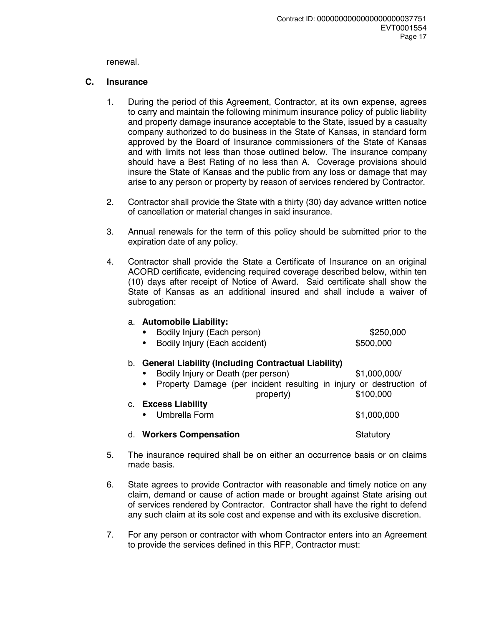renewal.

## **C. Insurance**

- 1. During the period of this Agreement, Contractor, at its own expense, agrees to carry and maintain the following minimum insurance policy of public liability and property damage insurance acceptable to the State, issued by a casualty company authorized to do business in the State of Kansas, in standard form approved by the Board of Insurance commissioners of the State of Kansas and with limits not less than those outlined below. The insurance company should have a Best Rating of no less than A. Coverage provisions should insure the State of Kansas and the public from any loss or damage that may arise to any person or property by reason of services rendered by Contractor.
- 2. Contractor shall provide the State with a thirty (30) day advance written notice of cancellation or material changes in said insurance.
- 3. Annual renewals for the term of this policy should be submitted prior to the expiration date of any policy.
- 4. Contractor shall provide the State a Certificate of Insurance on an original ACORD certificate, evidencing required coverage described below, within ten (10) days after receipt of Notice of Award. Said certificate shall show the State of Kansas as an additional insured and shall include a waiver of subrogation:

# a. **Automobile Liability:**

- Bodily Injury (Each person) \$250,000
- Bodily Injury (Each accident) \$500,000

# b. **General Liability (Including Contractual Liability)**

- Bodily Injury or Death (per person) \$1,000,000/
- Property Damage (per incident resulting in injury or destruction of property) \$100,000
- c. **Excess Liability** 
	- Umbrella Form \$1,000,000

# d. **Workers Compensation** Statutory

- 5. The insurance required shall be on either an occurrence basis or on claims made basis.
- 6. State agrees to provide Contractor with reasonable and timely notice on any claim, demand or cause of action made or brought against State arising out of services rendered by Contractor. Contractor shall have the right to defend any such claim at its sole cost and expense and with its exclusive discretion.
- 7. For any person or contractor with whom Contractor enters into an Agreement to provide the services defined in this RFP, Contractor must: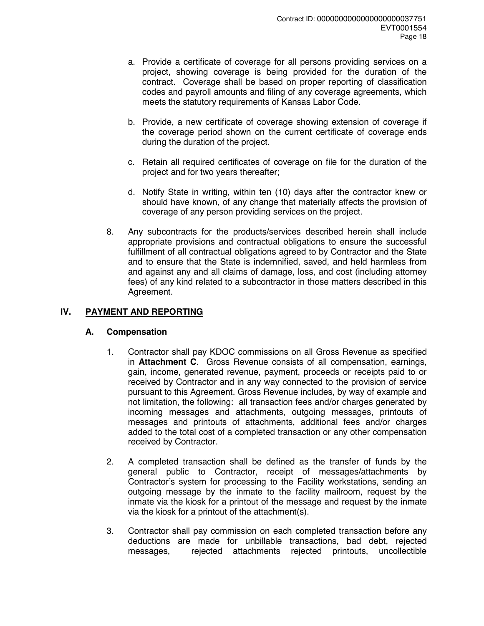- a. Provide a certificate of coverage for all persons providing services on a project, showing coverage is being provided for the duration of the contract. Coverage shall be based on proper reporting of classification codes and payroll amounts and filing of any coverage agreements, which meets the statutory requirements of Kansas Labor Code.
- b. Provide, a new certificate of coverage showing extension of coverage if the coverage period shown on the current certificate of coverage ends during the duration of the project.
- c. Retain all required certificates of coverage on file for the duration of the project and for two years thereafter;
- d. Notify State in writing, within ten (10) days after the contractor knew or should have known, of any change that materially affects the provision of coverage of any person providing services on the project.
- 8. Any subcontracts for the products/services described herein shall include appropriate provisions and contractual obligations to ensure the successful fulfillment of all contractual obligations agreed to by Contractor and the State and to ensure that the State is indemnified, saved, and held harmless from and against any and all claims of damage, loss, and cost (including attorney fees) of any kind related to a subcontractor in those matters described in this Agreement.

# **IV. PAYMENT AND REPORTING**

# **A. Compensation**

- 1. Contractor shall pay KDOC commissions on all Gross Revenue as specified in **Attachment C**. Gross Revenue consists of all compensation, earnings, gain, income, generated revenue, payment, proceeds or receipts paid to or received by Contractor and in any way connected to the provision of service pursuant to this Agreement. Gross Revenue includes, by way of example and not limitation, the following: all transaction fees and/or charges generated by incoming messages and attachments, outgoing messages, printouts of messages and printouts of attachments, additional fees and/or charges added to the total cost of a completed transaction or any other compensation received by Contractor.
- 2. A completed transaction shall be defined as the transfer of funds by the general public to Contractor, receipt of messages/attachments by Contractor's system for processing to the Facility workstations, sending an outgoing message by the inmate to the facility mailroom, request by the inmate via the kiosk for a printout of the message and request by the inmate via the kiosk for a printout of the attachment(s).
- 3. Contractor shall pay commission on each completed transaction before any deductions are made for unbillable transactions, bad debt, rejected messages, rejected attachments rejected printouts, uncollectible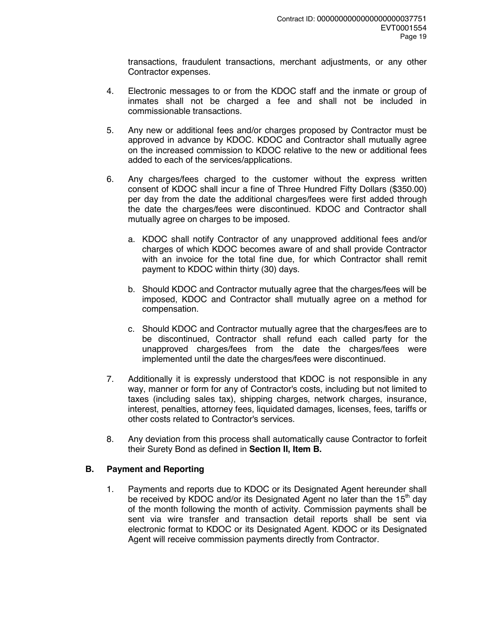transactions, fraudulent transactions, merchant adjustments, or any other Contractor expenses.

- 4. Electronic messages to or from the KDOC staff and the inmate or group of inmates shall not be charged a fee and shall not be included in commissionable transactions.
- 5. Any new or additional fees and/or charges proposed by Contractor must be approved in advance by KDOC. KDOC and Contractor shall mutually agree on the increased commission to KDOC relative to the new or additional fees added to each of the services/applications.
- 6. Any charges/fees charged to the customer without the express written consent of KDOC shall incur a fine of Three Hundred Fifty Dollars (\$350.00) per day from the date the additional charges/fees were first added through the date the charges/fees were discontinued. KDOC and Contractor shall mutually agree on charges to be imposed.
	- a. KDOC shall notify Contractor of any unapproved additional fees and/or charges of which KDOC becomes aware of and shall provide Contractor with an invoice for the total fine due, for which Contractor shall remit payment to KDOC within thirty (30) days.
	- b. Should KDOC and Contractor mutually agree that the charges/fees will be imposed, KDOC and Contractor shall mutually agree on a method for compensation.
	- c. Should KDOC and Contractor mutually agree that the charges/fees are to be discontinued, Contractor shall refund each called party for the unapproved charges/fees from the date the charges/fees were implemented until the date the charges/fees were discontinued.
- 7. Additionally it is expressly understood that KDOC is not responsible in any way, manner or form for any of Contractor's costs, including but not limited to taxes (including sales tax), shipping charges, network charges, insurance, interest, penalties, attorney fees, liquidated damages, licenses, fees, tariffs or other costs related to Contractor's services.
- 8. Any deviation from this process shall automatically cause Contractor to forfeit their Surety Bond as defined in **Section II, Item B.**

# **B. Payment and Reporting**

1. Payments and reports due to KDOC or its Designated Agent hereunder shall be received by KDOC and/or its Designated Agent no later than the  $15<sup>th</sup>$  day of the month following the month of activity. Commission payments shall be sent via wire transfer and transaction detail reports shall be sent via electronic format to KDOC or its Designated Agent. KDOC or its Designated Agent will receive commission payments directly from Contractor.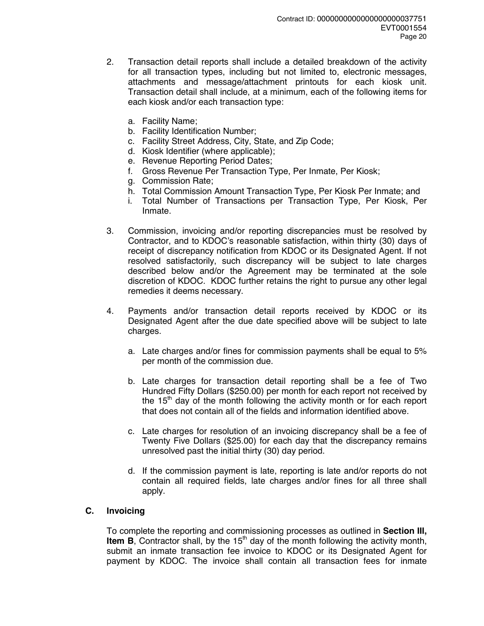- 2. Transaction detail reports shall include a detailed breakdown of the activity for all transaction types, including but not limited to, electronic messages, attachments and message/attachment printouts for each kiosk unit. Transaction detail shall include, at a minimum, each of the following items for each kiosk and/or each transaction type:
	- a. Facility Name;
	- b. Facility Identification Number;
	- c. Facility Street Address, City, State, and Zip Code;
	- d. Kiosk Identifier (where applicable);
	- e. Revenue Reporting Period Dates;
	- f. Gross Revenue Per Transaction Type, Per Inmate, Per Kiosk;
	- g. Commission Rate;
	- h. Total Commission Amount Transaction Type, Per Kiosk Per Inmate; and
	- i. Total Number of Transactions per Transaction Type, Per Kiosk, Per Inmate.
- 3. Commission, invoicing and/or reporting discrepancies must be resolved by Contractor, and to KDOC's reasonable satisfaction, within thirty (30) days of receipt of discrepancy notification from KDOC or its Designated Agent. If not resolved satisfactorily, such discrepancy will be subject to late charges described below and/or the Agreement may be terminated at the sole discretion of KDOC. KDOC further retains the right to pursue any other legal remedies it deems necessary.
- 4. Payments and/or transaction detail reports received by KDOC or its Designated Agent after the due date specified above will be subject to late charges.
	- a. Late charges and/or fines for commission payments shall be equal to 5% per month of the commission due.
	- b. Late charges for transaction detail reporting shall be a fee of Two Hundred Fifty Dollars (\$250.00) per month for each report not received by the  $15<sup>th</sup>$  day of the month following the activity month or for each report that does not contain all of the fields and information identified above.
	- c. Late charges for resolution of an invoicing discrepancy shall be a fee of Twenty Five Dollars (\$25.00) for each day that the discrepancy remains unresolved past the initial thirty (30) day period.
	- d. If the commission payment is late, reporting is late and/or reports do not contain all required fields, late charges and/or fines for all three shall apply.

# **C. Invoicing**

To complete the reporting and commissioning processes as outlined in **Section III, Item B**, Contractor shall, by the 15<sup>th</sup> day of the month following the activity month, submit an inmate transaction fee invoice to KDOC or its Designated Agent for payment by KDOC. The invoice shall contain all transaction fees for inmate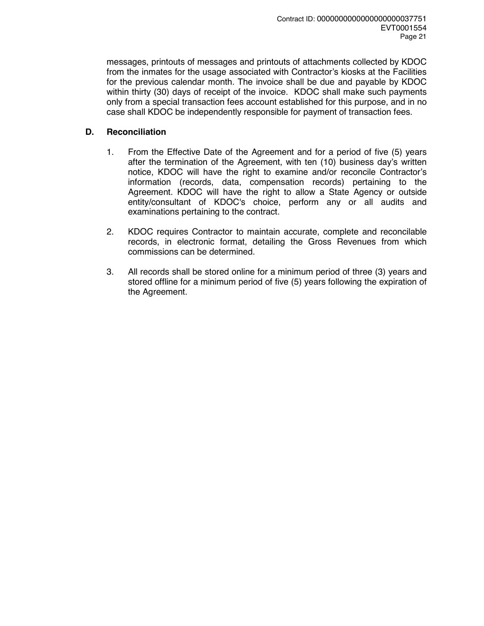messages, printouts of messages and printouts of attachments collected by KDOC from the inmates for the usage associated with Contractor's kiosks at the Facilities for the previous calendar month. The invoice shall be due and payable by KDOC within thirty (30) days of receipt of the invoice. KDOC shall make such payments only from a special transaction fees account established for this purpose, and in no case shall KDOC be independently responsible for payment of transaction fees.

# **D. Reconciliation**

- 1. From the Effective Date of the Agreement and for a period of five (5) years after the termination of the Agreement, with ten (10) business day's written notice, KDOC will have the right to examine and/or reconcile Contractor's information (records, data, compensation records) pertaining to the Agreement. KDOC will have the right to allow a State Agency or outside entity/consultant of KDOC's choice, perform any or all audits and examinations pertaining to the contract.
- 2. KDOC requires Contractor to maintain accurate, complete and reconcilable records, in electronic format, detailing the Gross Revenues from which commissions can be determined.
- 3. All records shall be stored online for a minimum period of three (3) years and stored offline for a minimum period of five (5) years following the expiration of the Agreement.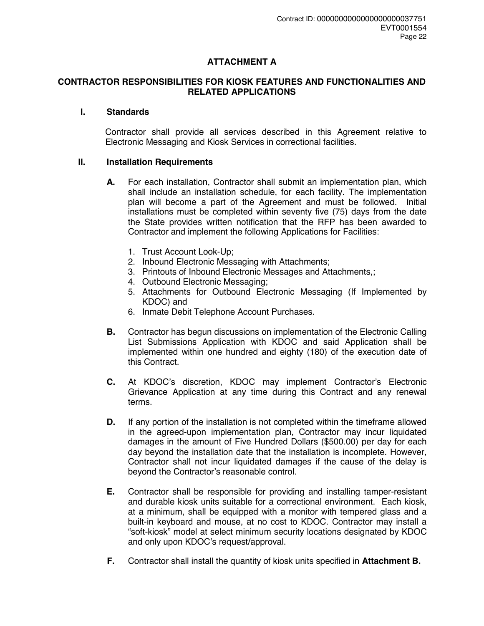# **ATTACHMENT A**

#### **CONTRACTOR RESPONSIBILITIES FOR KIOSK FEATURES AND FUNCTIONALITIES AND RELATED APPLICATIONS**

#### **I. Standards**

Contractor shall provide all services described in this Agreement relative to Electronic Messaging and Kiosk Services in correctional facilities.

#### **II. Installation Requirements**

- **A.** For each installation, Contractor shall submit an implementation plan, which shall include an installation schedule, for each facility. The implementation plan will become a part of the Agreement and must be followed. Initial installations must be completed within seventy five (75) days from the date the State provides written notification that the RFP has been awarded to Contractor and implement the following Applications for Facilities:
	- 1. Trust Account Look-Up;
	- 2. Inbound Electronic Messaging with Attachments;
	- 3. Printouts of Inbound Electronic Messages and Attachments,;
	- 4. Outbound Electronic Messaging;
	- 5. Attachments for Outbound Electronic Messaging (If Implemented by KDOC) and
	- 6. Inmate Debit Telephone Account Purchases.
- **B.** Contractor has begun discussions on implementation of the Electronic Calling List Submissions Application with KDOC and said Application shall be implemented within one hundred and eighty (180) of the execution date of this Contract.
- **C.** At KDOC's discretion, KDOC may implement Contractor's Electronic Grievance Application at any time during this Contract and any renewal terms.
- **D.** If any portion of the installation is not completed within the timeframe allowed in the agreed-upon implementation plan, Contractor may incur liquidated damages in the amount of Five Hundred Dollars (\$500.00) per day for each day beyond the installation date that the installation is incomplete. However, Contractor shall not incur liquidated damages if the cause of the delay is beyond the Contractor's reasonable control.
- **E.** Contractor shall be responsible for providing and installing tamper-resistant and durable kiosk units suitable for a correctional environment. Each kiosk, at a minimum, shall be equipped with a monitor with tempered glass and a built-in keyboard and mouse, at no cost to KDOC. Contractor may install a "soft-kiosk" model at select minimum security locations designated by KDOC and only upon KDOC's request/approval.
- **F.** Contractor shall install the quantity of kiosk units specified in **Attachment B.**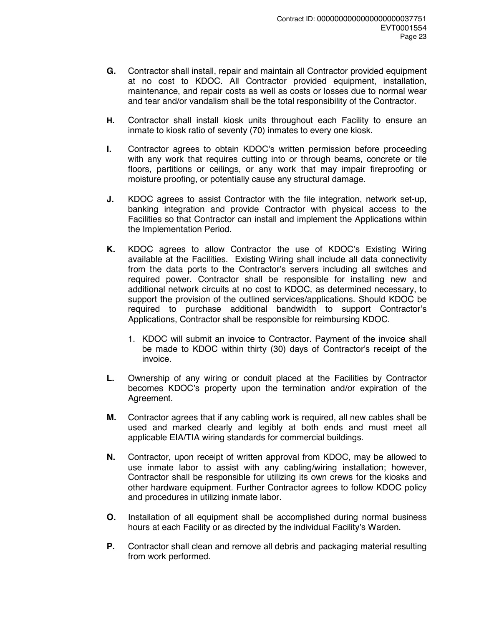- **G.** Contractor shall install, repair and maintain all Contractor provided equipment at no cost to KDOC. All Contractor provided equipment, installation, maintenance, and repair costs as well as costs or losses due to normal wear and tear and/or vandalism shall be the total responsibility of the Contractor.
- **H.** Contractor shall install kiosk units throughout each Facility to ensure an inmate to kiosk ratio of seventy (70) inmates to every one kiosk.
- **I.** Contractor agrees to obtain KDOC's written permission before proceeding with any work that requires cutting into or through beams, concrete or tile floors, partitions or ceilings, or any work that may impair fireproofing or moisture proofing, or potentially cause any structural damage.
- **J.** KDOC agrees to assist Contractor with the file integration, network set-up, banking integration and provide Contractor with physical access to the Facilities so that Contractor can install and implement the Applications within the Implementation Period.
- **K.** KDOC agrees to allow Contractor the use of KDOC's Existing Wiring available at the Facilities. Existing Wiring shall include all data connectivity from the data ports to the Contractor's servers including all switches and required power. Contractor shall be responsible for installing new and additional network circuits at no cost to KDOC, as determined necessary, to support the provision of the outlined services/applications. Should KDOC be required to purchase additional bandwidth to support Contractor's Applications, Contractor shall be responsible for reimbursing KDOC.
	- 1. KDOC will submit an invoice to Contractor. Payment of the invoice shall be made to KDOC within thirty (30) days of Contractor's receipt of the invoice.
- **L.** Ownership of any wiring or conduit placed at the Facilities by Contractor becomes KDOC's property upon the termination and/or expiration of the Agreement.
- **M.** Contractor agrees that if any cabling work is required, all new cables shall be used and marked clearly and legibly at both ends and must meet all applicable EIA/TIA wiring standards for commercial buildings.
- **N.** Contractor, upon receipt of written approval from KDOC, may be allowed to use inmate labor to assist with any cabling/wiring installation; however, Contractor shall be responsible for utilizing its own crews for the kiosks and other hardware equipment. Further Contractor agrees to follow KDOC policy and procedures in utilizing inmate labor.
- **O.** Installation of all equipment shall be accomplished during normal business hours at each Facility or as directed by the individual Facility's Warden.
- **P.** Contractor shall clean and remove all debris and packaging material resulting from work performed.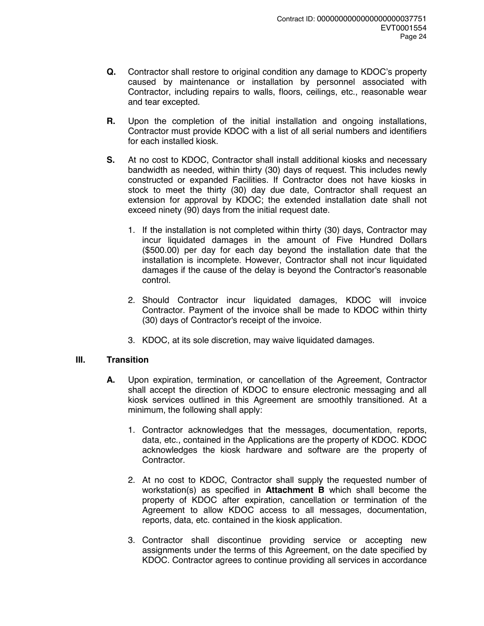- **Q.** Contractor shall restore to original condition any damage to KDOC's property caused by maintenance or installation by personnel associated with Contractor, including repairs to walls, floors, ceilings, etc., reasonable wear and tear excepted.
- **R.** Upon the completion of the initial installation and ongoing installations, Contractor must provide KDOC with a list of all serial numbers and identifiers for each installed kiosk.
- **S.** At no cost to KDOC, Contractor shall install additional kiosks and necessary bandwidth as needed, within thirty (30) days of request. This includes newly constructed or expanded Facilities. If Contractor does not have kiosks in stock to meet the thirty (30) day due date, Contractor shall request an extension for approval by KDOC; the extended installation date shall not exceed ninety (90) days from the initial request date.
	- 1. If the installation is not completed within thirty (30) days, Contractor may incur liquidated damages in the amount of Five Hundred Dollars (\$500.00) per day for each day beyond the installation date that the installation is incomplete. However, Contractor shall not incur liquidated damages if the cause of the delay is beyond the Contractor's reasonable control.
	- 2. Should Contractor incur liquidated damages, KDOC will invoice Contractor. Payment of the invoice shall be made to KDOC within thirty (30) days of Contractor's receipt of the invoice.
	- 3. KDOC, at its sole discretion, may waive liquidated damages.

# **III. Transition**

- **A.** Upon expiration, termination, or cancellation of the Agreement, Contractor shall accept the direction of KDOC to ensure electronic messaging and all kiosk services outlined in this Agreement are smoothly transitioned. At a minimum, the following shall apply:
	- 1. Contractor acknowledges that the messages, documentation, reports, data, etc., contained in the Applications are the property of KDOC. KDOC acknowledges the kiosk hardware and software are the property of Contractor.
	- 2. At no cost to KDOC, Contractor shall supply the requested number of workstation(s) as specified in **Attachment B** which shall become the property of KDOC after expiration, cancellation or termination of the Agreement to allow KDOC access to all messages, documentation, reports, data, etc. contained in the kiosk application.
	- 3. Contractor shall discontinue providing service or accepting new assignments under the terms of this Agreement, on the date specified by KDOC. Contractor agrees to continue providing all services in accordance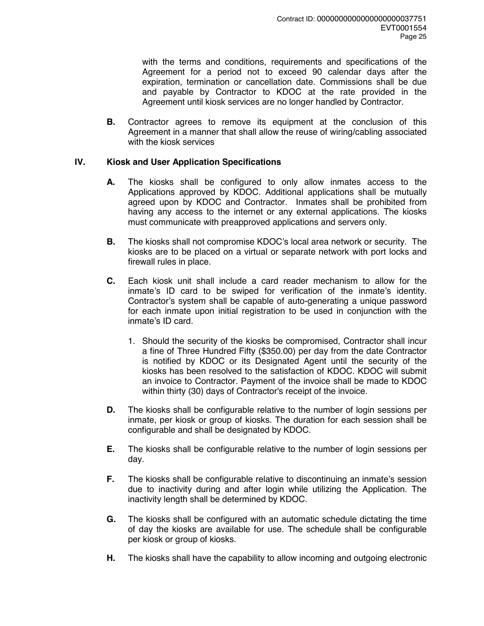with the terms and conditions, requirements and specifications of the Agreement for a period not to exceed 90 calendar days after the expiration, termination or cancellation date. Commissions shall be due and payable by Contractor to KDOC at the rate provided in the Agreement until kiosk services are no longer handled by Contractor.

**B.** Contractor agrees to remove its equipment at the conclusion of this Agreement in a manner that shall allow the reuse of wiring/cabling associated with the kiosk services

# **IV. Kiosk and User Application Specifications**

- **A.** The kiosks shall be configured to only allow inmates access to the Applications approved by KDOC. Additional applications shall be mutually agreed upon by KDOC and Contractor. Inmates shall be prohibited from having any access to the internet or any external applications. The kiosks must communicate with preapproved applications and servers only.
- **B.** The kiosks shall not compromise KDOC's local area network or security. The kiosks are to be placed on a virtual or separate network with port locks and firewall rules in place.
- **C.** Each kiosk unit shall include a card reader mechanism to allow for the inmate's ID card to be swiped for verification of the inmate's identity. Contractor's system shall be capable of auto-generating a unique password for each inmate upon initial registration to be used in conjunction with the inmate's ID card.
	- 1. Should the security of the kiosks be compromised, Contractor shall incur a fine of Three Hundred Fifty (\$350.00) per day from the date Contractor is notified by KDOC or its Designated Agent until the security of the kiosks has been resolved to the satisfaction of KDOC. KDOC will submit an invoice to Contractor. Payment of the invoice shall be made to KDOC within thirty (30) days of Contractor's receipt of the invoice.
- **D.** The kiosks shall be configurable relative to the number of login sessions per inmate, per kiosk or group of kiosks. The duration for each session shall be configurable and shall be designated by KDOC.
- **E.** The kiosks shall be configurable relative to the number of login sessions per day.
- **F.** The kiosks shall be configurable relative to discontinuing an inmate's session due to inactivity during and after login while utilizing the Application. The inactivity length shall be determined by KDOC.
- **G.** The kiosks shall be configured with an automatic schedule dictating the time of day the kiosks are available for use. The schedule shall be configurable per kiosk or group of kiosks.
- **H.** The kiosks shall have the capability to allow incoming and outgoing electronic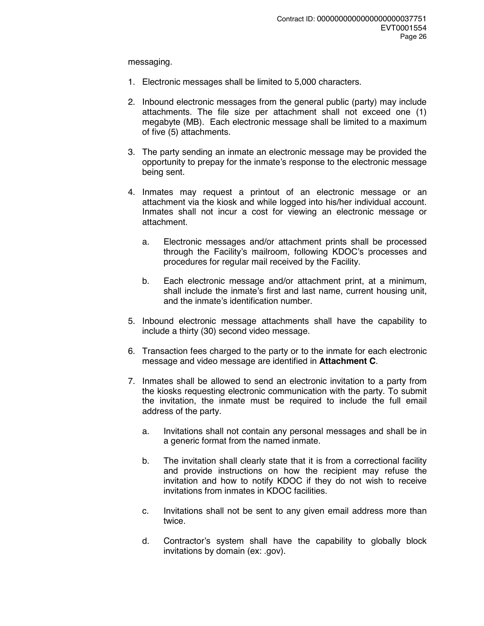messaging.

- 1. Electronic messages shall be limited to 5,000 characters.
- 2. Inbound electronic messages from the general public (party) may include attachments. The file size per attachment shall not exceed one (1) megabyte (MB). Each electronic message shall be limited to a maximum of five (5) attachments.
- 3. The party sending an inmate an electronic message may be provided the opportunity to prepay for the inmate's response to the electronic message being sent.
- 4. Inmates may request a printout of an electronic message or an attachment via the kiosk and while logged into his/her individual account. Inmates shall not incur a cost for viewing an electronic message or attachment.
	- a. Electronic messages and/or attachment prints shall be processed through the Facility's mailroom, following KDOC's processes and procedures for regular mail received by the Facility.
	- b. Each electronic message and/or attachment print, at a minimum, shall include the inmate's first and last name, current housing unit, and the inmate's identification number.
- 5. Inbound electronic message attachments shall have the capability to include a thirty (30) second video message.
- 6. Transaction fees charged to the party or to the inmate for each electronic message and video message are identified in **Attachment C**.
- 7. Inmates shall be allowed to send an electronic invitation to a party from the kiosks requesting electronic communication with the party. To submit the invitation, the inmate must be required to include the full email address of the party.
	- a. Invitations shall not contain any personal messages and shall be in a generic format from the named inmate.
	- b. The invitation shall clearly state that it is from a correctional facility and provide instructions on how the recipient may refuse the invitation and how to notify KDOC if they do not wish to receive invitations from inmates in KDOC facilities.
	- c. Invitations shall not be sent to any given email address more than twice.
	- d. Contractor's system shall have the capability to globally block invitations by domain (ex: .gov).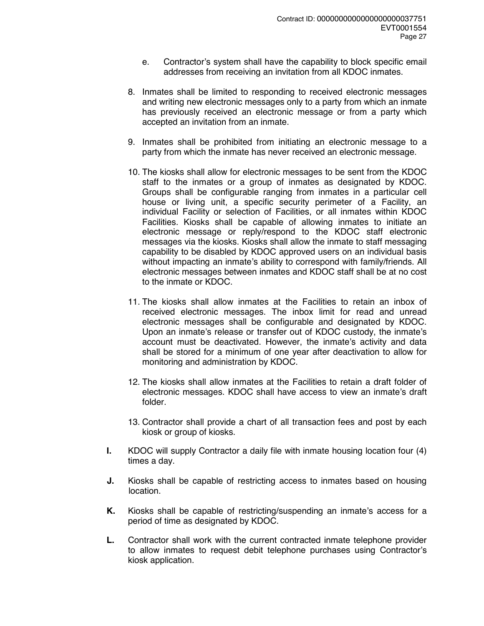- e. Contractor's system shall have the capability to block specific email addresses from receiving an invitation from all KDOC inmates.
- 8. Inmates shall be limited to responding to received electronic messages and writing new electronic messages only to a party from which an inmate has previously received an electronic message or from a party which accepted an invitation from an inmate.
- 9. Inmates shall be prohibited from initiating an electronic message to a party from which the inmate has never received an electronic message.
- 10. The kiosks shall allow for electronic messages to be sent from the KDOC staff to the inmates or a group of inmates as designated by KDOC. Groups shall be configurable ranging from inmates in a particular cell house or living unit, a specific security perimeter of a Facility, an individual Facility or selection of Facilities, or all inmates within KDOC Facilities. Kiosks shall be capable of allowing inmates to initiate an electronic message or reply/respond to the KDOC staff electronic messages via the kiosks. Kiosks shall allow the inmate to staff messaging capability to be disabled by KDOC approved users on an individual basis without impacting an inmate's ability to correspond with family/friends. All electronic messages between inmates and KDOC staff shall be at no cost to the inmate or KDOC.
- 11. The kiosks shall allow inmates at the Facilities to retain an inbox of received electronic messages. The inbox limit for read and unread electronic messages shall be configurable and designated by KDOC. Upon an inmate's release or transfer out of KDOC custody, the inmate's account must be deactivated. However, the inmate's activity and data shall be stored for a minimum of one year after deactivation to allow for monitoring and administration by KDOC.
- 12. The kiosks shall allow inmates at the Facilities to retain a draft folder of electronic messages. KDOC shall have access to view an inmate's draft folder.
- 13. Contractor shall provide a chart of all transaction fees and post by each kiosk or group of kiosks.
- **I.** KDOC will supply Contractor a daily file with inmate housing location four (4) times a day.
- **J.** Kiosks shall be capable of restricting access to inmates based on housing location.
- **K.** Kiosks shall be capable of restricting/suspending an inmate's access for a period of time as designated by KDOC.
- **L.** Contractor shall work with the current contracted inmate telephone provider to allow inmates to request debit telephone purchases using Contractor's kiosk application.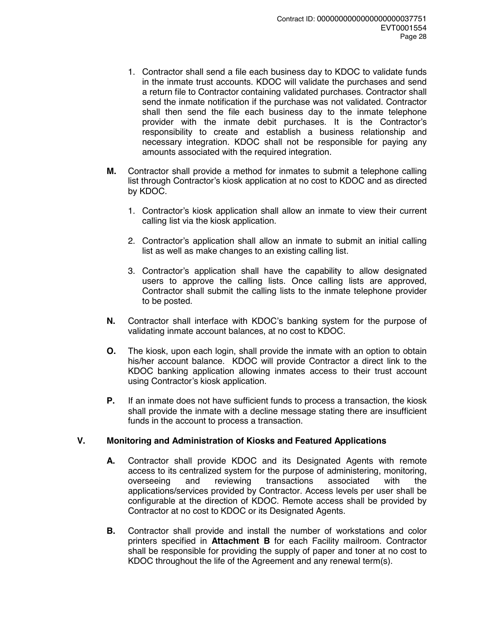- 1. Contractor shall send a file each business day to KDOC to validate funds in the inmate trust accounts. KDOC will validate the purchases and send a return file to Contractor containing validated purchases. Contractor shall send the inmate notification if the purchase was not validated. Contractor shall then send the file each business day to the inmate telephone provider with the inmate debit purchases. It is the Contractor's responsibility to create and establish a business relationship and necessary integration. KDOC shall not be responsible for paying any amounts associated with the required integration.
- **M.** Contractor shall provide a method for inmates to submit a telephone calling list through Contractor's kiosk application at no cost to KDOC and as directed by KDOC.
	- 1. Contractor's kiosk application shall allow an inmate to view their current calling list via the kiosk application.
	- 2. Contractor's application shall allow an inmate to submit an initial calling list as well as make changes to an existing calling list.
	- 3. Contractor's application shall have the capability to allow designated users to approve the calling lists. Once calling lists are approved, Contractor shall submit the calling lists to the inmate telephone provider to be posted.
- **N.** Contractor shall interface with KDOC's banking system for the purpose of validating inmate account balances, at no cost to KDOC.
- **O.** The kiosk, upon each login, shall provide the inmate with an option to obtain his/her account balance. KDOC will provide Contractor a direct link to the KDOC banking application allowing inmates access to their trust account using Contractor's kiosk application.
- **P.** If an inmate does not have sufficient funds to process a transaction, the kiosk shall provide the inmate with a decline message stating there are insufficient funds in the account to process a transaction.

# **V. Monitoring and Administration of Kiosks and Featured Applications**

- **A.** Contractor shall provide KDOC and its Designated Agents with remote access to its centralized system for the purpose of administering, monitoring, overseeing and reviewing transactions associated with the applications/services provided by Contractor. Access levels per user shall be configurable at the direction of KDOC. Remote access shall be provided by Contractor at no cost to KDOC or its Designated Agents.
- **B.** Contractor shall provide and install the number of workstations and color printers specified in **Attachment B** for each Facility mailroom. Contractor shall be responsible for providing the supply of paper and toner at no cost to KDOC throughout the life of the Agreement and any renewal term(s).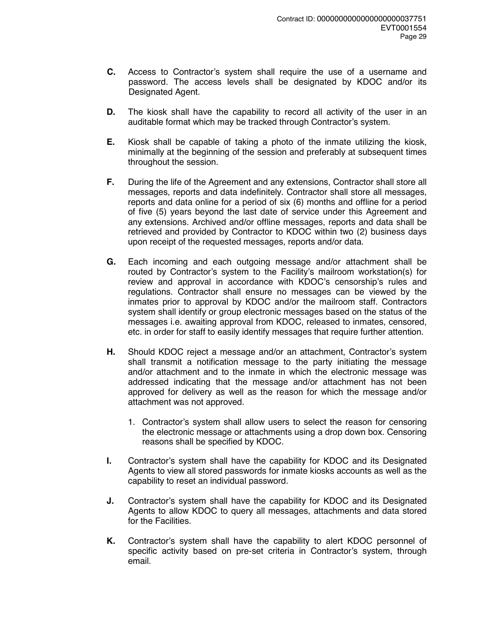- **C.** Access to Contractor's system shall require the use of a username and password. The access levels shall be designated by KDOC and/or its Designated Agent.
- **D.** The kiosk shall have the capability to record all activity of the user in an auditable format which may be tracked through Contractor's system.
- **E.** Kiosk shall be capable of taking a photo of the inmate utilizing the kiosk, minimally at the beginning of the session and preferably at subsequent times throughout the session.
- **F.** During the life of the Agreement and any extensions, Contractor shall store all messages, reports and data indefinitely. Contractor shall store all messages, reports and data online for a period of six (6) months and offline for a period of five (5) years beyond the last date of service under this Agreement and any extensions. Archived and/or offline messages, reports and data shall be retrieved and provided by Contractor to KDOC within two (2) business days upon receipt of the requested messages, reports and/or data.
- **G.** Each incoming and each outgoing message and/or attachment shall be routed by Contractor's system to the Facility's mailroom workstation(s) for review and approval in accordance with KDOC's censorship's rules and regulations. Contractor shall ensure no messages can be viewed by the inmates prior to approval by KDOC and/or the mailroom staff. Contractors system shall identify or group electronic messages based on the status of the messages i.e. awaiting approval from KDOC, released to inmates, censored, etc. in order for staff to easily identify messages that require further attention.
- **H.** Should KDOC reject a message and/or an attachment, Contractor's system shall transmit a notification message to the party initiating the message and/or attachment and to the inmate in which the electronic message was addressed indicating that the message and/or attachment has not been approved for delivery as well as the reason for which the message and/or attachment was not approved.
	- 1. Contractor's system shall allow users to select the reason for censoring the electronic message or attachments using a drop down box. Censoring reasons shall be specified by KDOC.
- **I.** Contractor's system shall have the capability for KDOC and its Designated Agents to view all stored passwords for inmate kiosks accounts as well as the capability to reset an individual password.
- **J.** Contractor's system shall have the capability for KDOC and its Designated Agents to allow KDOC to query all messages, attachments and data stored for the Facilities.
- **K.** Contractor's system shall have the capability to alert KDOC personnel of specific activity based on pre-set criteria in Contractor's system, through email.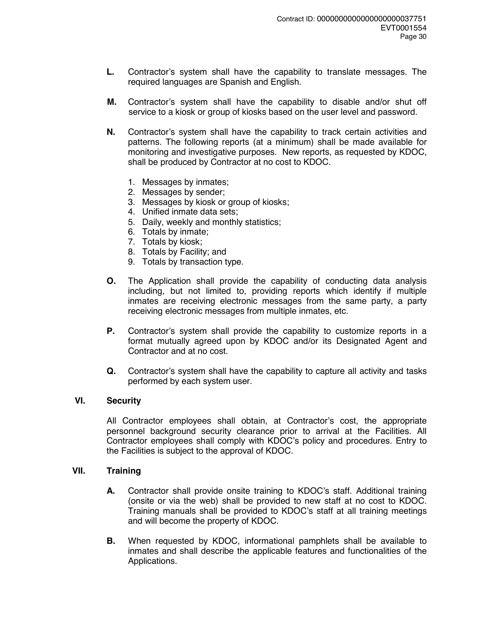- **L.** Contractor's system shall have the capability to translate messages. The required languages are Spanish and English.
- **M.** Contractor's system shall have the capability to disable and/or shut off service to a kiosk or group of kiosks based on the user level and password.
- **N.** Contractor's system shall have the capability to track certain activities and patterns. The following reports (at a minimum) shall be made available for monitoring and investigative purposes. New reports, as requested by KDOC, shall be produced by Contractor at no cost to KDOC.
	- 1. Messages by inmates;
	- 2. Messages by sender;
	- 3. Messages by kiosk or group of kiosks;
	- 4. Unified inmate data sets;
	- 5. Daily, weekly and monthly statistics;
	- 6. Totals by inmate;
	- 7. Totals by kiosk;
	- 8. Totals by Facility; and
	- 9. Totals by transaction type.
- **O.** The Application shall provide the capability of conducting data analysis including, but not limited to, providing reports which identify if multiple inmates are receiving electronic messages from the same party, a party receiving electronic messages from multiple inmates, etc.
- **P.** Contractor's system shall provide the capability to customize reports in a format mutually agreed upon by KDOC and/or its Designated Agent and Contractor and at no cost.
- **Q.** Contractor's system shall have the capability to capture all activity and tasks performed by each system user.

## **VI. Security**

All Contractor employees shall obtain, at Contractor's cost, the appropriate personnel background security clearance prior to arrival at the Facilities. All Contractor employees shall comply with KDOC's policy and procedures. Entry to the Facilities is subject to the approval of KDOC.

#### **VII. Training**

- **A.** Contractor shall provide onsite training to KDOC's staff. Additional training (onsite or via the web) shall be provided to new staff at no cost to KDOC. Training manuals shall be provided to KDOC's staff at all training meetings and will become the property of KDOC.
- **B.** When requested by KDOC, informational pamphlets shall be available to inmates and shall describe the applicable features and functionalities of the Applications.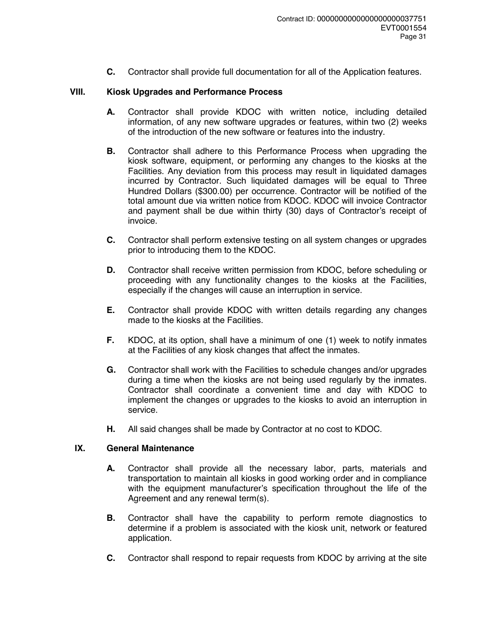**C.** Contractor shall provide full documentation for all of the Application features.

# **VIII. Kiosk Upgrades and Performance Process**

- **A.** Contractor shall provide KDOC with written notice, including detailed information, of any new software upgrades or features, within two (2) weeks of the introduction of the new software or features into the industry.
- **B.** Contractor shall adhere to this Performance Process when upgrading the kiosk software, equipment, or performing any changes to the kiosks at the Facilities. Any deviation from this process may result in liquidated damages incurred by Contractor. Such liquidated damages will be equal to Three Hundred Dollars (\$300.00) per occurrence. Contractor will be notified of the total amount due via written notice from KDOC. KDOC will invoice Contractor and payment shall be due within thirty (30) days of Contractor's receipt of invoice.
- **C.** Contractor shall perform extensive testing on all system changes or upgrades prior to introducing them to the KDOC.
- **D.** Contractor shall receive written permission from KDOC, before scheduling or proceeding with any functionality changes to the kiosks at the Facilities, especially if the changes will cause an interruption in service.
- **E.** Contractor shall provide KDOC with written details regarding any changes made to the kiosks at the Facilities.
- **F.** KDOC, at its option, shall have a minimum of one (1) week to notify inmates at the Facilities of any kiosk changes that affect the inmates.
- **G.** Contractor shall work with the Facilities to schedule changes and/or upgrades during a time when the kiosks are not being used regularly by the inmates. Contractor shall coordinate a convenient time and day with KDOC to implement the changes or upgrades to the kiosks to avoid an interruption in service.
- **H.** All said changes shall be made by Contractor at no cost to KDOC.

# **IX. General Maintenance**

- **A.** Contractor shall provide all the necessary labor, parts, materials and transportation to maintain all kiosks in good working order and in compliance with the equipment manufacturer's specification throughout the life of the Agreement and any renewal term(s).
- **B.** Contractor shall have the capability to perform remote diagnostics to determine if a problem is associated with the kiosk unit, network or featured application.
- **C.** Contractor shall respond to repair requests from KDOC by arriving at the site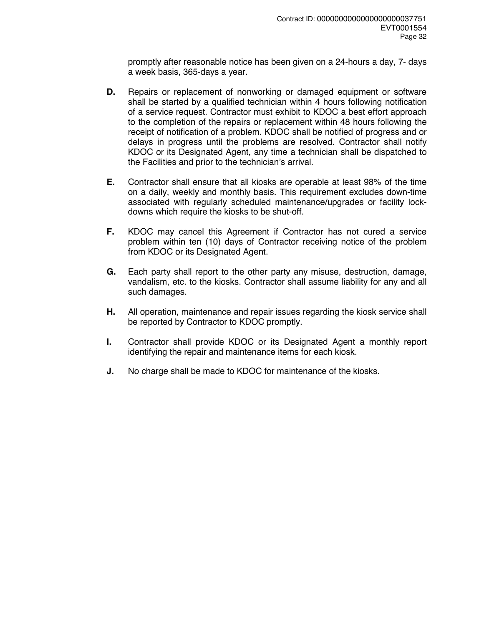promptly after reasonable notice has been given on a 24-hours a day, 7- days a week basis, 365-days a year.

- **D.** Repairs or replacement of nonworking or damaged equipment or software shall be started by a qualified technician within 4 hours following notification of a service request. Contractor must exhibit to KDOC a best effort approach to the completion of the repairs or replacement within 48 hours following the receipt of notification of a problem. KDOC shall be notified of progress and or delays in progress until the problems are resolved. Contractor shall notify KDOC or its Designated Agent, any time a technician shall be dispatched to the Facilities and prior to the technician's arrival.
- **E.** Contractor shall ensure that all kiosks are operable at least 98% of the time on a daily, weekly and monthly basis. This requirement excludes down-time associated with regularly scheduled maintenance/upgrades or facility lockdowns which require the kiosks to be shut-off.
- **F.** KDOC may cancel this Agreement if Contractor has not cured a service problem within ten (10) days of Contractor receiving notice of the problem from KDOC or its Designated Agent.
- **G.** Each party shall report to the other party any misuse, destruction, damage, vandalism, etc. to the kiosks. Contractor shall assume liability for any and all such damages.
- **H.** All operation, maintenance and repair issues regarding the kiosk service shall be reported by Contractor to KDOC promptly.
- **I.** Contractor shall provide KDOC or its Designated Agent a monthly report identifying the repair and maintenance items for each kiosk.
- **J.** No charge shall be made to KDOC for maintenance of the kiosks.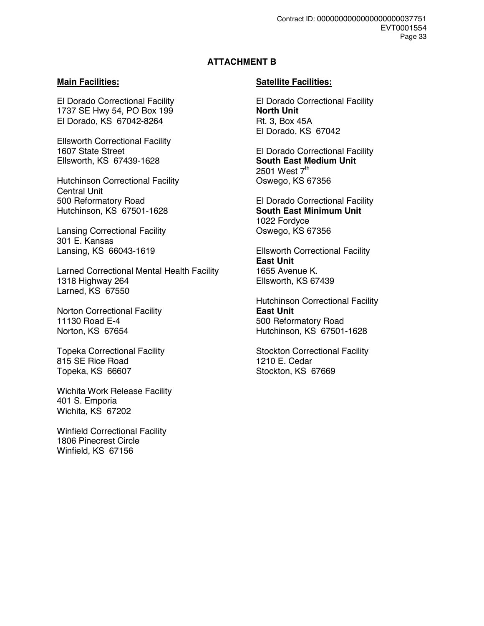# **ATTACHMENT B**

El Dorado Correctional Facility El Dorado Correctional Facility 1737 SE Hwy 54, PO Box 199 **North Unit**  El Dorado, KS 67042-8264 Rt. 3, Box 45A

Ellsworth Correctional Facility **Ellsworth, KS 67439-1628** 

Hutchinson Correctional Facility Central Unit 500 Reformatory Road El Dorado Correctional Facility Hutchinson, KS 67501-1628 **South East Minimum Unit** 

Lansing Correctional Facility Oswego, KS 67356 301 E. Kansas<br>Lansing, KS 66043-1619

Larned Correctional Mental Health Facility 1655 Avenue K. 1318 Highway 264 Ellsworth, KS 67439 Larned, KS 67550

Norton Correctional Facility **East Unit** 11130 Road E-4 500 Reformatory Road

815 SE Rice Road 1210 E. Cedar<br>Topeka. KS 66607 Constants Constants Constants Constants Stockton. KS 67669 Topeka, KS 66607

Wichita Work Release Facility 401 S. Emporia Wichita, KS 67202

Winfield Correctional Facility 1806 Pinecrest Circle Winfield, KS 67156

# **Main Facilities:** Satellite Facilities:

El Dorado, KS 67042

1607 State Street **El Dorado Correctional Facility**<br>Ellsworth, KS 67439-1628 **Ellsworth**, KS 67439-1628 2501 West 7<sup>th</sup><br>Oswego, KS 67356

1022 Fordyce

**Ellsworth Correctional Facility East Unit**

 Hutchinson Correctional Facility Norton, KS 67654 Hutchinson, KS 67501-1628

Topeka Correctional Facility **Stockton Correctional Facility** Stockton Correctional Facility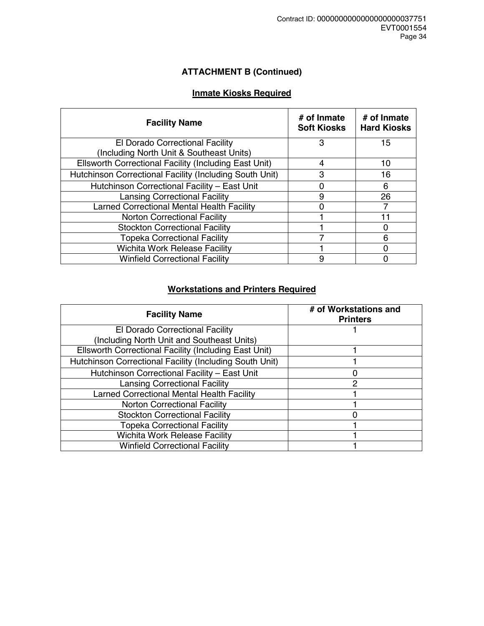# **ATTACHMENT B (Continued)**

# **Inmate Kiosks Required**

| <b>Facility Name</b>                                    | # of Inmate<br><b>Soft Kiosks</b> | # of Inmate<br><b>Hard Kiosks</b> |
|---------------------------------------------------------|-----------------------------------|-----------------------------------|
| El Dorado Correctional Facility                         | 3                                 | 15                                |
| (Including North Unit & Southeast Units)                |                                   |                                   |
| Ellsworth Correctional Facility (Including East Unit)   | 4                                 | 10                                |
| Hutchinson Correctional Facility (Including South Unit) | 3                                 | 16                                |
| Hutchinson Correctional Facility - East Unit            | 0                                 | 6                                 |
| <b>Lansing Correctional Facility</b>                    | 9                                 | 26                                |
| Larned Correctional Mental Health Facility              |                                   |                                   |
| <b>Norton Correctional Facility</b>                     |                                   |                                   |
| <b>Stockton Correctional Facility</b>                   |                                   |                                   |
| <b>Topeka Correctional Facility</b>                     |                                   | 6                                 |
| <b>Wichita Work Release Facility</b>                    |                                   | n                                 |
| <b>Winfield Correctional Facility</b>                   | 9                                 |                                   |

# **Workstations and Printers Required**

| <b>Facility Name</b>                                    | # of Workstations and<br><b>Printers</b> |
|---------------------------------------------------------|------------------------------------------|
| El Dorado Correctional Facility                         |                                          |
| (Including North Unit and Southeast Units)              |                                          |
| Ellsworth Correctional Facility (Including East Unit)   |                                          |
| Hutchinson Correctional Facility (Including South Unit) |                                          |
| Hutchinson Correctional Facility - East Unit            |                                          |
| <b>Lansing Correctional Facility</b>                    | 2                                        |
| Larned Correctional Mental Health Facility              |                                          |
| <b>Norton Correctional Facility</b>                     |                                          |
| <b>Stockton Correctional Facility</b>                   |                                          |
| <b>Topeka Correctional Facility</b>                     |                                          |
| <b>Wichita Work Release Facility</b>                    |                                          |
| <b>Winfield Correctional Facility</b>                   |                                          |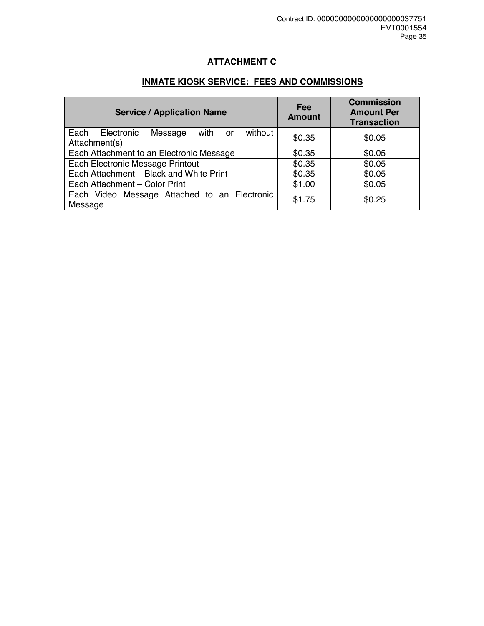# **ATTACHMENT C**

# **INMATE KIOSK SERVICE: FEES AND COMMISSIONS**

| <b>Service / Application Name</b>                                       | Fee<br><b>Amount</b> | <b>Commission</b><br><b>Amount Per</b><br><b>Transaction</b> |
|-------------------------------------------------------------------------|----------------------|--------------------------------------------------------------|
| Each<br>Electronic<br>without<br>Message<br>with<br>or<br>Attachment(s) | \$0.35               | \$0.05                                                       |
| Each Attachment to an Electronic Message                                | \$0.35               | \$0.05                                                       |
| Each Electronic Message Printout                                        | \$0.35               | \$0.05                                                       |
| Each Attachment - Black and White Print                                 | \$0.35               | \$0.05                                                       |
| Each Attachment - Color Print                                           | \$1.00               | \$0.05                                                       |
| Each Video Message Attached to an Electronic<br>Message                 | \$1.75               | \$0.25                                                       |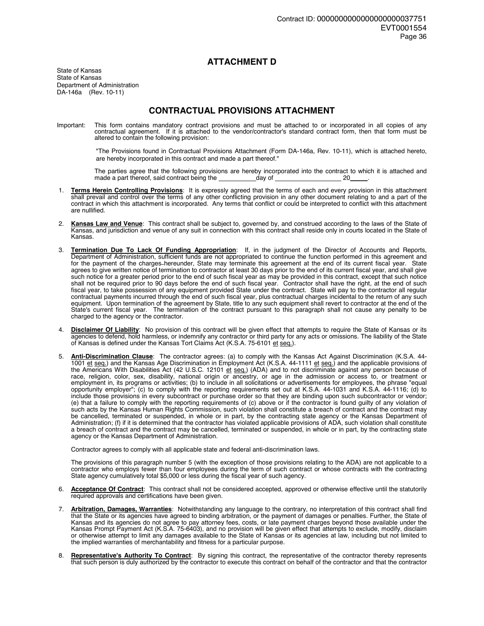#### **ATTACHMENT D**

State of Kansas State of Kansas Department of Administration DA-146a (Rev. 10-11)

### **CONTRACTUAL PROVISIONS ATTACHMENT**

Important: This form contains mandatory contract provisions and must be attached to or incorporated in all copies of any contractual agreement. If it is attached to the vendor/contractor's standard contract form, then that form must be altered to contain the following provision:

> "The Provisions found in Contractual Provisions Attachment (Form DA-146a, Rev. 10-11), which is attached hereto, are hereby incorporated in this contract and made a part thereof."

 The parties agree that the following provisions are hereby incorporated into the contract to which it is attached and made a part thereof, said contract being the \_\_\_\_\_\_\_\_\_\_\_day of \_\_\_\_\_\_\_\_\_\_\_\_\_\_\_\_\_\_\_\_\_\_20\_\_\_\_\_.

- 1. **Terms Herein Controlling Provisions**: It is expressly agreed that the terms of each and every provision in this attachment shall prevail and control over the terms of any other conflicting provision in any other document relating to and a part of the contract in which this attachment is incorporated. Any terms that conflict or could be interpreted to conflict with this attachment are nullified.
- 2. **Kansas Law and Venue**: This contract shall be subject to, governed by, and construed according to the laws of the State of Kansas, and jurisdiction and venue of any suit in connection with this contract shall reside only in courts located in the State of Kansas.
- 3. **Termination Due To Lack Of Funding Appropriation**: If, in the judgment of the Director of Accounts and Reports, Department of Administration, sufficient funds are not appropriated to continue the function performed in this agreement and for the payment of the charges hereunder, State may terminate this agreement at the end of its current fiscal year. State agrees to give written notice of termination to contractor at least 30 days prior to the end of its current fiscal year, and shall give such notice for a greater period prior to the end of such fiscal year as may be provided in this contract, except that such notice shall not be required prior to 90 days before the end of such fiscal year. Contractor shall have the right, at the end of such fiscal year, to take possession of any equipment provided State under the contract. State will pay to the contractor all regular contractual payments incurred through the end of such fiscal year, plus contractual charges incidental to the return of any such equipment. Upon termination of the agreement by State, title to any such equipment shall revert to contractor at the end of the State's current fiscal year. The termination of the contract pursuant to this paragraph shall not cause any penalty to be charged to the agency or the contractor.
- 4. **Disclaimer Of Liability**: No provision of this contract will be given effect that attempts to require the State of Kansas or its agencies to defend, hold harmless, or indemnify any contractor or third party for any acts or omissions. The liability of the State of Kansas is defined under the Kansas Tort Claims Act (K.S.A. 75-6101 et seq.).
- 5. **Anti-Discrimination Clause**: The contractor agrees: (a) to comply with the Kansas Act Against Discrimination (K.S.A. 44- 1001 et seq.) and the Kansas Age Discrimination in Employment Act (K.S.A. 44-1111 et seq.) and the applicable provisions of the Americans With Disabilities Act (42 U.S.C. 12101 et seq.) (ADA) and to not discriminate against any person because of race, religion, color, sex, disability, national origin or ancestry, or age in the admission or access to, or treatment or employment in, its programs or activities; (b) to include in all solicitations or advertisements for employees, the phrase "equal opportunity employer"; (c) to comply with the reporting requirements set out at K.S.A. 44-1031 and K.S.A. 44-1116; (d) to include those provisions in every subcontract or purchase order so that they are binding upon such subcontractor or vendor; (e) that a failure to comply with the reporting requirements of (c) above or if the contractor is found guilty of any violation of such acts by the Kansas Human Rights Commission, such violation shall constitute a breach of contract and the contract may be cancelled, terminated or suspended, in whole or in part, by the contracting state agency or the Kansas Department of Administration; (f) if it is determined that the contractor has violated applicable provisions of ADA, such violation shall constitute a breach of contract and the contract may be cancelled, terminated or suspended, in whole or in part, by the contracting state agency or the Kansas Department of Administration.

Contractor agrees to comply with all applicable state and federal anti-discrimination laws.

 The provisions of this paragraph number 5 (with the exception of those provisions relating to the ADA) are not applicable to a contractor who employs fewer than four employees during the term of such contract or whose contracts with the contracting State agency cumulatively total \$5,000 or less during the fiscal year of such agency.

- 6. **Acceptance Of Contract**: This contract shall not be considered accepted, approved or otherwise effective until the statutorily required approvals and certifications have been given.
- 7. **Arbitration, Damages, Warranties**: Notwithstanding any language to the contrary, no interpretation of this contract shall find that the State or its agencies have agreed to binding arbitration, or the payment of damages or penalties. Further, the State of Kansas and its agencies do not agree to pay attorney fees, costs, or late payment charges beyond those available under the Kansas Prompt Payment Act (K.S.A. 75-6403), and no provision will be given effect that attempts to exclude, modify, disclaim or otherwise attempt to limit any damages available to the State of Kansas or its agencies at law, including but not limited to the implied warranties of merchantability and fitness for a particular purpose.
- 8. **Representative's Authority To Contract**: By signing this contract, the representative of the contractor thereby represents that such person is duly authorized by the contractor to execute this contract on behalf of the contractor and that the contractor